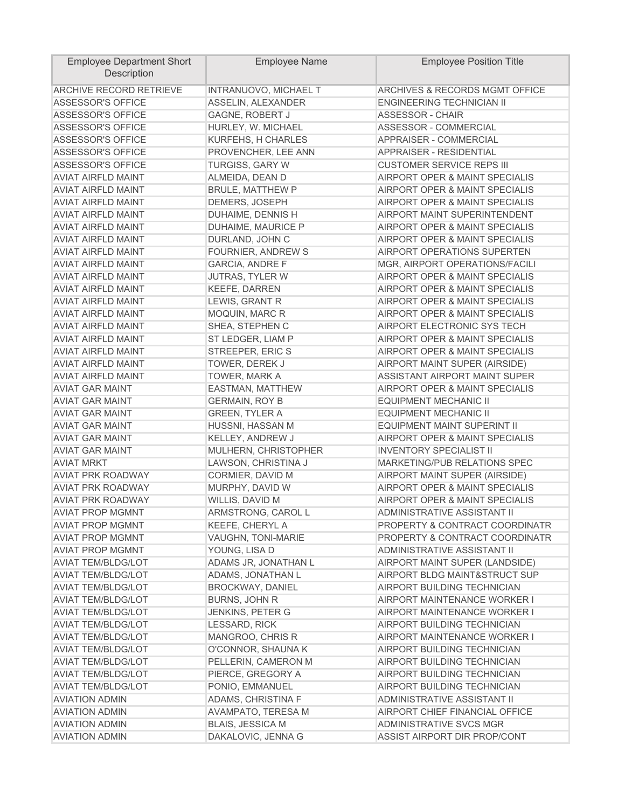| <b>ARCHIVE RECORD RETRIEVE</b><br><b>ARCHIVES &amp; RECORDS MGMT OFFICE</b><br>INTRANUOVO, MICHAEL T<br>ASSELIN, ALEXANDER<br>ENGINEERING TECHNICIAN II<br><b>ASSESSOR'S OFFICE</b><br><b>ASSESSOR'S OFFICE</b><br>GAGNE, ROBERT J<br>ASSESSOR - CHAIR<br><b>ASSESSOR'S OFFICE</b><br>HURLEY, W. MICHAEL<br><b>ASSESSOR - COMMERCIAL</b><br><b>ASSESSOR'S OFFICE</b><br>KURFEHS, H CHARLES<br>APPRAISER - COMMERCIAL<br>APPRAISER - RESIDENTIAL<br><b>ASSESSOR'S OFFICE</b><br>PROVENCHER, LEE ANN<br><b>CUSTOMER SERVICE REPS III</b><br><b>ASSESSOR'S OFFICE</b><br><b>TURGISS, GARY W</b><br><b>AVIAT AIRFLD MAINT</b><br>AIRPORT OPER & MAINT SPECIALIS<br>ALMEIDA, DEAN D<br><b>AVIAT AIRFLD MAINT</b><br><b>BRULE, MATTHEW P</b><br>AIRPORT OPER & MAINT SPECIALIS<br><b>AVIAT AIRFLD MAINT</b><br>DEMERS, JOSEPH<br>AIRPORT OPER & MAINT SPECIALIS<br><b>AVIAT AIRFLD MAINT</b><br>AIRPORT MAINT SUPERINTENDENT<br>DUHAIME, DENNIS H<br><b>AVIAT AIRFLD MAINT</b><br>DUHAIME, MAURICE P<br>AIRPORT OPER & MAINT SPECIALIS<br>AIRPORT OPER & MAINT SPECIALIS<br><b>AVIAT AIRFLD MAINT</b><br>DURLAND, JOHN C<br><b>AVIAT AIRFLD MAINT</b><br>FOURNIER, ANDREW S<br>AIRPORT OPERATIONS SUPERTEN<br><b>AVIAT AIRFLD MAINT</b><br><b>GARCIA, ANDRE F</b><br>MGR, AIRPORT OPERATIONS/FACILI<br><b>AVIAT AIRFLD MAINT</b><br>AIRPORT OPER & MAINT SPECIALIS<br>JUTRAS, TYLER W<br><b>AVIAT AIRFLD MAINT</b><br>KEEFE, DARREN<br>AIRPORT OPER & MAINT SPECIALIS<br><b>AVIAT AIRFLD MAINT</b><br>LEWIS, GRANT R<br>AIRPORT OPER & MAINT SPECIALIS<br>AIRPORT OPER & MAINT SPECIALIS<br><b>AVIAT AIRFLD MAINT</b><br>MOQUIN, MARC R<br>SHEA, STEPHEN C<br><b>AVIAT AIRFLD MAINT</b><br>AIRPORT ELECTRONIC SYS TECH<br>ST LEDGER, LIAM P<br><b>AVIAT AIRFLD MAINT</b><br>AIRPORT OPER & MAINT SPECIALIS<br>STREEPER, ERIC S<br>AIRPORT OPER & MAINT SPECIALIS<br><b>AVIAT AIRFLD MAINT</b> | <b>Employee Department Short</b><br>Description | <b>Employee Name</b> | <b>Employee Position Title</b> |
|-----------------------------------------------------------------------------------------------------------------------------------------------------------------------------------------------------------------------------------------------------------------------------------------------------------------------------------------------------------------------------------------------------------------------------------------------------------------------------------------------------------------------------------------------------------------------------------------------------------------------------------------------------------------------------------------------------------------------------------------------------------------------------------------------------------------------------------------------------------------------------------------------------------------------------------------------------------------------------------------------------------------------------------------------------------------------------------------------------------------------------------------------------------------------------------------------------------------------------------------------------------------------------------------------------------------------------------------------------------------------------------------------------------------------------------------------------------------------------------------------------------------------------------------------------------------------------------------------------------------------------------------------------------------------------------------------------------------------------------------------------------------------------------------------------------------------------------------------------------------------------------------|-------------------------------------------------|----------------------|--------------------------------|
|                                                                                                                                                                                                                                                                                                                                                                                                                                                                                                                                                                                                                                                                                                                                                                                                                                                                                                                                                                                                                                                                                                                                                                                                                                                                                                                                                                                                                                                                                                                                                                                                                                                                                                                                                                                                                                                                                         |                                                 |                      |                                |
|                                                                                                                                                                                                                                                                                                                                                                                                                                                                                                                                                                                                                                                                                                                                                                                                                                                                                                                                                                                                                                                                                                                                                                                                                                                                                                                                                                                                                                                                                                                                                                                                                                                                                                                                                                                                                                                                                         |                                                 |                      |                                |
|                                                                                                                                                                                                                                                                                                                                                                                                                                                                                                                                                                                                                                                                                                                                                                                                                                                                                                                                                                                                                                                                                                                                                                                                                                                                                                                                                                                                                                                                                                                                                                                                                                                                                                                                                                                                                                                                                         |                                                 |                      |                                |
|                                                                                                                                                                                                                                                                                                                                                                                                                                                                                                                                                                                                                                                                                                                                                                                                                                                                                                                                                                                                                                                                                                                                                                                                                                                                                                                                                                                                                                                                                                                                                                                                                                                                                                                                                                                                                                                                                         |                                                 |                      |                                |
|                                                                                                                                                                                                                                                                                                                                                                                                                                                                                                                                                                                                                                                                                                                                                                                                                                                                                                                                                                                                                                                                                                                                                                                                                                                                                                                                                                                                                                                                                                                                                                                                                                                                                                                                                                                                                                                                                         |                                                 |                      |                                |
|                                                                                                                                                                                                                                                                                                                                                                                                                                                                                                                                                                                                                                                                                                                                                                                                                                                                                                                                                                                                                                                                                                                                                                                                                                                                                                                                                                                                                                                                                                                                                                                                                                                                                                                                                                                                                                                                                         |                                                 |                      |                                |
|                                                                                                                                                                                                                                                                                                                                                                                                                                                                                                                                                                                                                                                                                                                                                                                                                                                                                                                                                                                                                                                                                                                                                                                                                                                                                                                                                                                                                                                                                                                                                                                                                                                                                                                                                                                                                                                                                         |                                                 |                      |                                |
|                                                                                                                                                                                                                                                                                                                                                                                                                                                                                                                                                                                                                                                                                                                                                                                                                                                                                                                                                                                                                                                                                                                                                                                                                                                                                                                                                                                                                                                                                                                                                                                                                                                                                                                                                                                                                                                                                         |                                                 |                      |                                |
|                                                                                                                                                                                                                                                                                                                                                                                                                                                                                                                                                                                                                                                                                                                                                                                                                                                                                                                                                                                                                                                                                                                                                                                                                                                                                                                                                                                                                                                                                                                                                                                                                                                                                                                                                                                                                                                                                         |                                                 |                      |                                |
|                                                                                                                                                                                                                                                                                                                                                                                                                                                                                                                                                                                                                                                                                                                                                                                                                                                                                                                                                                                                                                                                                                                                                                                                                                                                                                                                                                                                                                                                                                                                                                                                                                                                                                                                                                                                                                                                                         |                                                 |                      |                                |
|                                                                                                                                                                                                                                                                                                                                                                                                                                                                                                                                                                                                                                                                                                                                                                                                                                                                                                                                                                                                                                                                                                                                                                                                                                                                                                                                                                                                                                                                                                                                                                                                                                                                                                                                                                                                                                                                                         |                                                 |                      |                                |
|                                                                                                                                                                                                                                                                                                                                                                                                                                                                                                                                                                                                                                                                                                                                                                                                                                                                                                                                                                                                                                                                                                                                                                                                                                                                                                                                                                                                                                                                                                                                                                                                                                                                                                                                                                                                                                                                                         |                                                 |                      |                                |
|                                                                                                                                                                                                                                                                                                                                                                                                                                                                                                                                                                                                                                                                                                                                                                                                                                                                                                                                                                                                                                                                                                                                                                                                                                                                                                                                                                                                                                                                                                                                                                                                                                                                                                                                                                                                                                                                                         |                                                 |                      |                                |
|                                                                                                                                                                                                                                                                                                                                                                                                                                                                                                                                                                                                                                                                                                                                                                                                                                                                                                                                                                                                                                                                                                                                                                                                                                                                                                                                                                                                                                                                                                                                                                                                                                                                                                                                                                                                                                                                                         |                                                 |                      |                                |
|                                                                                                                                                                                                                                                                                                                                                                                                                                                                                                                                                                                                                                                                                                                                                                                                                                                                                                                                                                                                                                                                                                                                                                                                                                                                                                                                                                                                                                                                                                                                                                                                                                                                                                                                                                                                                                                                                         |                                                 |                      |                                |
|                                                                                                                                                                                                                                                                                                                                                                                                                                                                                                                                                                                                                                                                                                                                                                                                                                                                                                                                                                                                                                                                                                                                                                                                                                                                                                                                                                                                                                                                                                                                                                                                                                                                                                                                                                                                                                                                                         |                                                 |                      |                                |
|                                                                                                                                                                                                                                                                                                                                                                                                                                                                                                                                                                                                                                                                                                                                                                                                                                                                                                                                                                                                                                                                                                                                                                                                                                                                                                                                                                                                                                                                                                                                                                                                                                                                                                                                                                                                                                                                                         |                                                 |                      |                                |
|                                                                                                                                                                                                                                                                                                                                                                                                                                                                                                                                                                                                                                                                                                                                                                                                                                                                                                                                                                                                                                                                                                                                                                                                                                                                                                                                                                                                                                                                                                                                                                                                                                                                                                                                                                                                                                                                                         |                                                 |                      |                                |
|                                                                                                                                                                                                                                                                                                                                                                                                                                                                                                                                                                                                                                                                                                                                                                                                                                                                                                                                                                                                                                                                                                                                                                                                                                                                                                                                                                                                                                                                                                                                                                                                                                                                                                                                                                                                                                                                                         |                                                 |                      |                                |
|                                                                                                                                                                                                                                                                                                                                                                                                                                                                                                                                                                                                                                                                                                                                                                                                                                                                                                                                                                                                                                                                                                                                                                                                                                                                                                                                                                                                                                                                                                                                                                                                                                                                                                                                                                                                                                                                                         |                                                 |                      |                                |
|                                                                                                                                                                                                                                                                                                                                                                                                                                                                                                                                                                                                                                                                                                                                                                                                                                                                                                                                                                                                                                                                                                                                                                                                                                                                                                                                                                                                                                                                                                                                                                                                                                                                                                                                                                                                                                                                                         |                                                 |                      |                                |
|                                                                                                                                                                                                                                                                                                                                                                                                                                                                                                                                                                                                                                                                                                                                                                                                                                                                                                                                                                                                                                                                                                                                                                                                                                                                                                                                                                                                                                                                                                                                                                                                                                                                                                                                                                                                                                                                                         |                                                 |                      |                                |
|                                                                                                                                                                                                                                                                                                                                                                                                                                                                                                                                                                                                                                                                                                                                                                                                                                                                                                                                                                                                                                                                                                                                                                                                                                                                                                                                                                                                                                                                                                                                                                                                                                                                                                                                                                                                                                                                                         |                                                 |                      |                                |
| AIRPORT MAINT SUPER (AIRSIDE)<br><b>AVIAT AIRFLD MAINT</b><br>TOWER, DEREK J                                                                                                                                                                                                                                                                                                                                                                                                                                                                                                                                                                                                                                                                                                                                                                                                                                                                                                                                                                                                                                                                                                                                                                                                                                                                                                                                                                                                                                                                                                                                                                                                                                                                                                                                                                                                            |                                                 |                      |                                |
| <b>AVIAT AIRFLD MAINT</b><br>ASSISTANT AIRPORT MAINT SUPER<br>TOWER, MARK A                                                                                                                                                                                                                                                                                                                                                                                                                                                                                                                                                                                                                                                                                                                                                                                                                                                                                                                                                                                                                                                                                                                                                                                                                                                                                                                                                                                                                                                                                                                                                                                                                                                                                                                                                                                                             |                                                 |                      |                                |
| <b>AVIAT GAR MAINT</b><br>AIRPORT OPER & MAINT SPECIALIS<br>EASTMAN, MATTHEW                                                                                                                                                                                                                                                                                                                                                                                                                                                                                                                                                                                                                                                                                                                                                                                                                                                                                                                                                                                                                                                                                                                                                                                                                                                                                                                                                                                                                                                                                                                                                                                                                                                                                                                                                                                                            |                                                 |                      |                                |
| <b>AVIAT GAR MAINT</b><br><b>GERMAIN, ROY B</b><br><b>EQUIPMENT MECHANIC II</b>                                                                                                                                                                                                                                                                                                                                                                                                                                                                                                                                                                                                                                                                                                                                                                                                                                                                                                                                                                                                                                                                                                                                                                                                                                                                                                                                                                                                                                                                                                                                                                                                                                                                                                                                                                                                         |                                                 |                      |                                |
| <b>AVIAT GAR MAINT</b><br><b>GREEN, TYLER A</b><br><b>EQUIPMENT MECHANIC II</b>                                                                                                                                                                                                                                                                                                                                                                                                                                                                                                                                                                                                                                                                                                                                                                                                                                                                                                                                                                                                                                                                                                                                                                                                                                                                                                                                                                                                                                                                                                                                                                                                                                                                                                                                                                                                         |                                                 |                      |                                |
| <b>AVIAT GAR MAINT</b><br>HUSSNI, HASSAN M<br>EQUIPMENT MAINT SUPERINT II                                                                                                                                                                                                                                                                                                                                                                                                                                                                                                                                                                                                                                                                                                                                                                                                                                                                                                                                                                                                                                                                                                                                                                                                                                                                                                                                                                                                                                                                                                                                                                                                                                                                                                                                                                                                               |                                                 |                      |                                |
| <b>AVIAT GAR MAINT</b><br>AIRPORT OPER & MAINT SPECIALIS<br>KELLEY, ANDREW J                                                                                                                                                                                                                                                                                                                                                                                                                                                                                                                                                                                                                                                                                                                                                                                                                                                                                                                                                                                                                                                                                                                                                                                                                                                                                                                                                                                                                                                                                                                                                                                                                                                                                                                                                                                                            |                                                 |                      |                                |
| <b>AVIAT GAR MAINT</b><br>MULHERN, CHRISTOPHER<br><b>INVENTORY SPECIALIST II</b>                                                                                                                                                                                                                                                                                                                                                                                                                                                                                                                                                                                                                                                                                                                                                                                                                                                                                                                                                                                                                                                                                                                                                                                                                                                                                                                                                                                                                                                                                                                                                                                                                                                                                                                                                                                                        |                                                 |                      |                                |
| <b>AVIAT MRKT</b><br>MARKETING/PUB RELATIONS SPEC<br>LAWSON, CHRISTINA J                                                                                                                                                                                                                                                                                                                                                                                                                                                                                                                                                                                                                                                                                                                                                                                                                                                                                                                                                                                                                                                                                                                                                                                                                                                                                                                                                                                                                                                                                                                                                                                                                                                                                                                                                                                                                |                                                 |                      |                                |
| <b>AVIAT PRK ROADWAY</b><br>CORMIER, DAVID M<br>AIRPORT MAINT SUPER (AIRSIDE)                                                                                                                                                                                                                                                                                                                                                                                                                                                                                                                                                                                                                                                                                                                                                                                                                                                                                                                                                                                                                                                                                                                                                                                                                                                                                                                                                                                                                                                                                                                                                                                                                                                                                                                                                                                                           |                                                 |                      |                                |
| <b>AVIAT PRK ROADWAY</b><br>AIRPORT OPER & MAINT SPECIALIS<br>MURPHY, DAVID W                                                                                                                                                                                                                                                                                                                                                                                                                                                                                                                                                                                                                                                                                                                                                                                                                                                                                                                                                                                                                                                                                                                                                                                                                                                                                                                                                                                                                                                                                                                                                                                                                                                                                                                                                                                                           |                                                 |                      |                                |
| <b>AVIAT PRK ROADWAY</b><br>AIRPORT OPER & MAINT SPECIALIS<br>WILLIS, DAVID M                                                                                                                                                                                                                                                                                                                                                                                                                                                                                                                                                                                                                                                                                                                                                                                                                                                                                                                                                                                                                                                                                                                                                                                                                                                                                                                                                                                                                                                                                                                                                                                                                                                                                                                                                                                                           |                                                 |                      |                                |
| ADMINISTRATIVE ASSISTANT II<br><b>AVIAT PROP MGMNT</b><br>ARMSTRONG, CAROL L                                                                                                                                                                                                                                                                                                                                                                                                                                                                                                                                                                                                                                                                                                                                                                                                                                                                                                                                                                                                                                                                                                                                                                                                                                                                                                                                                                                                                                                                                                                                                                                                                                                                                                                                                                                                            |                                                 |                      |                                |
| <b>AVIAT PROP MGMNT</b><br>KEEFE, CHERYL A<br>PROPERTY & CONTRACT COORDINATR                                                                                                                                                                                                                                                                                                                                                                                                                                                                                                                                                                                                                                                                                                                                                                                                                                                                                                                                                                                                                                                                                                                                                                                                                                                                                                                                                                                                                                                                                                                                                                                                                                                                                                                                                                                                            |                                                 |                      |                                |
| <b>AVIAT PROP MGMNT</b><br>VAUGHN, TONI-MARIE<br>PROPERTY & CONTRACT COORDINATR                                                                                                                                                                                                                                                                                                                                                                                                                                                                                                                                                                                                                                                                                                                                                                                                                                                                                                                                                                                                                                                                                                                                                                                                                                                                                                                                                                                                                                                                                                                                                                                                                                                                                                                                                                                                         |                                                 |                      |                                |
| <b>AVIAT PROP MGMNT</b><br>YOUNG, LISA D<br>ADMINISTRATIVE ASSISTANT II                                                                                                                                                                                                                                                                                                                                                                                                                                                                                                                                                                                                                                                                                                                                                                                                                                                                                                                                                                                                                                                                                                                                                                                                                                                                                                                                                                                                                                                                                                                                                                                                                                                                                                                                                                                                                 |                                                 |                      |                                |
| AIRPORT MAINT SUPER (LANDSIDE)<br><b>AVIAT TEM/BLDG/LOT</b><br>ADAMS JR, JONATHAN L                                                                                                                                                                                                                                                                                                                                                                                                                                                                                                                                                                                                                                                                                                                                                                                                                                                                                                                                                                                                                                                                                                                                                                                                                                                                                                                                                                                                                                                                                                                                                                                                                                                                                                                                                                                                     |                                                 |                      |                                |
| <b>AVIAT TEM/BLDG/LOT</b><br>ADAMS, JONATHAN L<br>AIRPORT BLDG MAINT&STRUCT SUP                                                                                                                                                                                                                                                                                                                                                                                                                                                                                                                                                                                                                                                                                                                                                                                                                                                                                                                                                                                                                                                                                                                                                                                                                                                                                                                                                                                                                                                                                                                                                                                                                                                                                                                                                                                                         |                                                 |                      |                                |
| <b>AVIAT TEM/BLDG/LOT</b><br><b>BROCKWAY, DANIEL</b><br><b>AIRPORT BUILDING TECHNICIAN</b>                                                                                                                                                                                                                                                                                                                                                                                                                                                                                                                                                                                                                                                                                                                                                                                                                                                                                                                                                                                                                                                                                                                                                                                                                                                                                                                                                                                                                                                                                                                                                                                                                                                                                                                                                                                              |                                                 |                      |                                |
| <b>BURNS, JOHN R</b><br><b>AVIAT TEM/BLDG/LOT</b><br>AIRPORT MAINTENANCE WORKER I                                                                                                                                                                                                                                                                                                                                                                                                                                                                                                                                                                                                                                                                                                                                                                                                                                                                                                                                                                                                                                                                                                                                                                                                                                                                                                                                                                                                                                                                                                                                                                                                                                                                                                                                                                                                       |                                                 |                      |                                |
| <b>AVIAT TEM/BLDG/LOT</b><br><b>JENKINS, PETER G</b><br><b>AIRPORT MAINTENANCE WORKER I</b>                                                                                                                                                                                                                                                                                                                                                                                                                                                                                                                                                                                                                                                                                                                                                                                                                                                                                                                                                                                                                                                                                                                                                                                                                                                                                                                                                                                                                                                                                                                                                                                                                                                                                                                                                                                             |                                                 |                      |                                |
| <b>AVIAT TEM/BLDG/LOT</b><br>LESSARD, RICK<br>AIRPORT BUILDING TECHNICIAN                                                                                                                                                                                                                                                                                                                                                                                                                                                                                                                                                                                                                                                                                                                                                                                                                                                                                                                                                                                                                                                                                                                                                                                                                                                                                                                                                                                                                                                                                                                                                                                                                                                                                                                                                                                                               |                                                 |                      |                                |
| <b>AVIAT TEM/BLDG/LOT</b><br>MANGROO, CHRIS R<br><b>AIRPORT MAINTENANCE WORKER I</b>                                                                                                                                                                                                                                                                                                                                                                                                                                                                                                                                                                                                                                                                                                                                                                                                                                                                                                                                                                                                                                                                                                                                                                                                                                                                                                                                                                                                                                                                                                                                                                                                                                                                                                                                                                                                    |                                                 |                      |                                |
| <b>AVIAT TEM/BLDG/LOT</b><br>AIRPORT BUILDING TECHNICIAN<br>O'CONNOR, SHAUNA K                                                                                                                                                                                                                                                                                                                                                                                                                                                                                                                                                                                                                                                                                                                                                                                                                                                                                                                                                                                                                                                                                                                                                                                                                                                                                                                                                                                                                                                                                                                                                                                                                                                                                                                                                                                                          |                                                 |                      |                                |
| <b>AVIAT TEM/BLDG/LOT</b><br>PELLERIN, CAMERON M<br><b>AIRPORT BUILDING TECHNICIAN</b>                                                                                                                                                                                                                                                                                                                                                                                                                                                                                                                                                                                                                                                                                                                                                                                                                                                                                                                                                                                                                                                                                                                                                                                                                                                                                                                                                                                                                                                                                                                                                                                                                                                                                                                                                                                                  |                                                 |                      |                                |
| <b>AVIAT TEM/BLDG/LOT</b><br>PIERCE, GREGORY A<br>AIRPORT BUILDING TECHNICIAN                                                                                                                                                                                                                                                                                                                                                                                                                                                                                                                                                                                                                                                                                                                                                                                                                                                                                                                                                                                                                                                                                                                                                                                                                                                                                                                                                                                                                                                                                                                                                                                                                                                                                                                                                                                                           |                                                 |                      |                                |
| <b>AVIAT TEM/BLDG/LOT</b><br>PONIO, EMMANUEL<br><b>AIRPORT BUILDING TECHNICIAN</b>                                                                                                                                                                                                                                                                                                                                                                                                                                                                                                                                                                                                                                                                                                                                                                                                                                                                                                                                                                                                                                                                                                                                                                                                                                                                                                                                                                                                                                                                                                                                                                                                                                                                                                                                                                                                      |                                                 |                      |                                |
| <b>AVIATION ADMIN</b><br>ADAMS, CHRISTINA F<br>ADMINISTRATIVE ASSISTANT II                                                                                                                                                                                                                                                                                                                                                                                                                                                                                                                                                                                                                                                                                                                                                                                                                                                                                                                                                                                                                                                                                                                                                                                                                                                                                                                                                                                                                                                                                                                                                                                                                                                                                                                                                                                                              |                                                 |                      |                                |
| <b>AVIATION ADMIN</b><br>AVAMPATO, TERESA M<br>AIRPORT CHIEF FINANCIAL OFFICE                                                                                                                                                                                                                                                                                                                                                                                                                                                                                                                                                                                                                                                                                                                                                                                                                                                                                                                                                                                                                                                                                                                                                                                                                                                                                                                                                                                                                                                                                                                                                                                                                                                                                                                                                                                                           |                                                 |                      |                                |
| <b>BLAIS, JESSICA M</b><br><b>ADMINISTRATIVE SVCS MGR</b><br><b>AVIATION ADMIN</b>                                                                                                                                                                                                                                                                                                                                                                                                                                                                                                                                                                                                                                                                                                                                                                                                                                                                                                                                                                                                                                                                                                                                                                                                                                                                                                                                                                                                                                                                                                                                                                                                                                                                                                                                                                                                      |                                                 |                      |                                |
| DAKALOVIC, JENNA G<br><b>AVIATION ADMIN</b><br>ASSIST AIRPORT DIR PROP/CONT                                                                                                                                                                                                                                                                                                                                                                                                                                                                                                                                                                                                                                                                                                                                                                                                                                                                                                                                                                                                                                                                                                                                                                                                                                                                                                                                                                                                                                                                                                                                                                                                                                                                                                                                                                                                             |                                                 |                      |                                |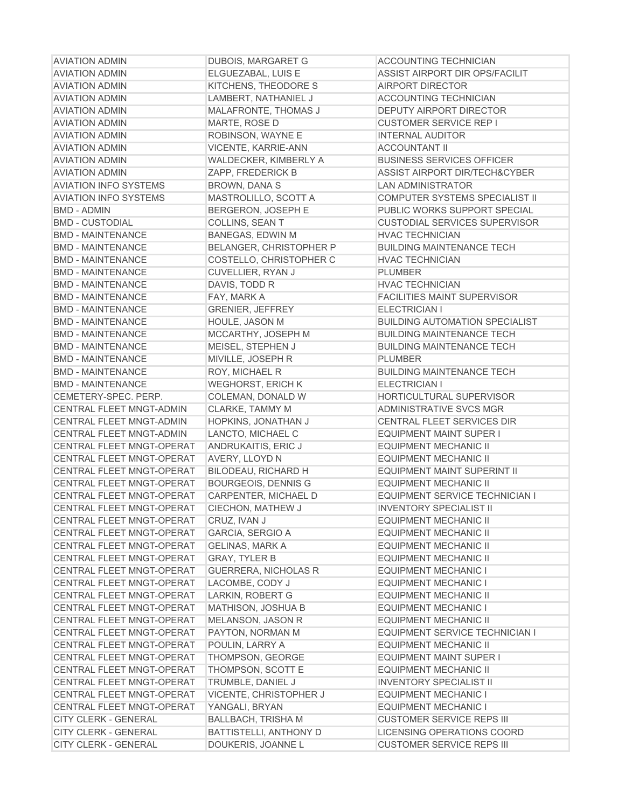| <b>AVIATION ADMIN</b>            | <b>DUBOIS, MARGARET G</b>      | <b>ACCOUNTING TECHNICIAN</b>             |
|----------------------------------|--------------------------------|------------------------------------------|
| <b>AVIATION ADMIN</b>            | ELGUEZABAL, LUIS E             | ASSIST AIRPORT DIR OPS/FACILIT           |
| <b>AVIATION ADMIN</b>            | KITCHENS, THEODORE S           | <b>AIRPORT DIRECTOR</b>                  |
| <b>AVIATION ADMIN</b>            | LAMBERT, NATHANIEL J           | <b>ACCOUNTING TECHNICIAN</b>             |
| <b>AVIATION ADMIN</b>            | <b>MALAFRONTE, THOMAS J</b>    | DEPUTY AIRPORT DIRECTOR                  |
| <b>AVIATION ADMIN</b>            | MARTE, ROSE D                  | <b>CUSTOMER SERVICE REP I</b>            |
| <b>AVIATION ADMIN</b>            | ROBINSON, WAYNE E              | <b>INTERNAL AUDITOR</b>                  |
| <b>AVIATION ADMIN</b>            | <b>VICENTE, KARRIE-ANN</b>     | <b>ACCOUNTANT II</b>                     |
| <b>AVIATION ADMIN</b>            | WALDECKER, KIMBERLY A          | <b>BUSINESS SERVICES OFFICER</b>         |
| <b>AVIATION ADMIN</b>            | ZAPP, FREDERICK B              | <b>ASSIST AIRPORT DIR/TECH&amp;CYBER</b> |
| <b>AVIATION INFO SYSTEMS</b>     | <b>BROWN, DANA S</b>           | <b>LAN ADMINISTRATOR</b>                 |
| <b>AVIATION INFO SYSTEMS</b>     | MASTROLILLO, SCOTT A           | COMPUTER SYSTEMS SPECIALIST II           |
| <b>BMD - ADMIN</b>               | <b>BERGERON, JOSEPH E</b>      | PUBLIC WORKS SUPPORT SPECIAL             |
| <b>BMD - CUSTODIAL</b>           | COLLINS, SEAN T                | <b>CUSTODIAL SERVICES SUPERVISOR</b>     |
| <b>BMD - MAINTENANCE</b>         | <b>BANEGAS, EDWIN M</b>        | <b>HVAC TECHNICIAN</b>                   |
| <b>BMD - MAINTENANCE</b>         | <b>BELANGER, CHRISTOPHER P</b> | <b>BUILDING MAINTENANCE TECH</b>         |
| <b>BMD - MAINTENANCE</b>         | COSTELLO, CHRISTOPHER C        | <b>HVAC TECHNICIAN</b>                   |
| <b>BMD - MAINTENANCE</b>         | <b>CUVELLIER, RYAN J</b>       | <b>PLUMBER</b>                           |
| <b>BMD - MAINTENANCE</b>         | DAVIS, TODD R                  | <b>HVAC TECHNICIAN</b>                   |
| <b>BMD - MAINTENANCE</b>         | FAY, MARK A                    | <b>FACILITIES MAINT SUPERVISOR</b>       |
| <b>BMD - MAINTENANCE</b>         | <b>GRENIER, JEFFREY</b>        | ELECTRICIAN I                            |
| <b>BMD - MAINTENANCE</b>         | <b>HOULE, JASON M</b>          | <b>BUILDING AUTOMATION SPECIALIST</b>    |
| <b>BMD - MAINTENANCE</b>         | MCCARTHY, JOSEPH M             | <b>BUILDING MAINTENANCE TECH</b>         |
| <b>BMD - MAINTENANCE</b>         | MEISEL, STEPHEN J              | <b>BUILDING MAINTENANCE TECH</b>         |
| <b>BMD - MAINTENANCE</b>         | MIVILLE, JOSEPH R              | <b>PLUMBER</b>                           |
| <b>BMD - MAINTENANCE</b>         | ROY, MICHAEL R                 | <b>BUILDING MAINTENANCE TECH</b>         |
| <b>BMD - MAINTENANCE</b>         | <b>WEGHORST, ERICH K</b>       | ELECTRICIAN I                            |
| CEMETERY-SPEC. PERP.             | COLEMAN, DONALD W              | HORTICULTURAL SUPERVISOR                 |
| <b>CENTRAL FLEET MNGT-ADMIN</b>  | CLARKE, TAMMY M                | ADMINISTRATIVE SVCS MGR                  |
| <b>CENTRAL FLEET MNGT-ADMIN</b>  | HOPKINS, JONATHAN J            | CENTRAL FLEET SERVICES DIR               |
| <b>CENTRAL FLEET MNGT-ADMIN</b>  | LANCTO, MICHAEL C              | <b>EQUIPMENT MAINT SUPER I</b>           |
| CENTRAL FLEET MNGT-OPERAT        | ANDRUKAITIS, ERIC J            | <b>EQUIPMENT MECHANIC II</b>             |
| CENTRAL FLEET MNGT-OPERAT        | AVERY, LLOYD N                 | <b>EQUIPMENT MECHANIC II</b>             |
| CENTRAL FLEET MNGT-OPERAT        | BILODEAU, RICHARD H            | EQUIPMENT MAINT SUPERINT II              |
| CENTRAL FLEET MNGT-OPERAT        | <b>BOURGEOIS, DENNIS G</b>     | <b>EQUIPMENT MECHANIC II</b>             |
| CENTRAL FLEET MNGT-OPERAT        | CARPENTER, MICHAEL D           | EQUIPMENT SERVICE TECHNICIAN I           |
| <b>CENTRAL FLEET MNGT-OPERAT</b> | CIECHON, MATHEW J              | <b>INVENTORY SPECIALIST II</b>           |
| CENTRAL FLEET MNGT-OPERAT        | CRUZ, IVAN J                   | EQUIPMENT MECHANIC II                    |
| CENTRAL FLEET MNGT-OPERAT        | GARCIA, SERGIO A               | EQUIPMENT MECHANIC II                    |
| <b>CENTRAL FLEET MNGT-OPERAT</b> | <b>GELINAS, MARK A</b>         | <b>EQUIPMENT MECHANIC II</b>             |
| CENTRAL FLEET MNGT-OPERAT        | <b>GRAY, TYLER B</b>           | <b>EQUIPMENT MECHANIC II</b>             |
| CENTRAL FLEET MNGT-OPERAT        | <b>GUERRERA, NICHOLAS R</b>    | <b>EQUIPMENT MECHANIC I</b>              |
| CENTRAL FLEET MNGT-OPERAT        | LACOMBE, CODY J                | <b>EQUIPMENT MECHANIC I</b>              |
| CENTRAL FLEET MNGT-OPERAT        | LARKIN, ROBERT G               | <b>EQUIPMENT MECHANIC II</b>             |
| CENTRAL FLEET MNGT-OPERAT        | MATHISON, JOSHUA B             | <b>EQUIPMENT MECHANIC I</b>              |
| CENTRAL FLEET MNGT-OPERAT        | MELANSON, JASON R              | <b>EQUIPMENT MECHANIC II</b>             |
| CENTRAL FLEET MNGT-OPERAT        | PAYTON, NORMAN M               | EQUIPMENT SERVICE TECHNICIAN I           |
| <b>CENTRAL FLEET MNGT-OPERAT</b> |                                | <b>EQUIPMENT MECHANIC II</b>             |
| CENTRAL FLEET MNGT-OPERAT        | POULIN, LARRY A                | <b>EQUIPMENT MAINT SUPER I</b>           |
|                                  | THOMPSON, GEORGE               |                                          |
| CENTRAL FLEET MNGT-OPERAT        | THOMPSON, SCOTT E              | <b>EQUIPMENT MECHANIC II</b>             |
| CENTRAL FLEET MNGT-OPERAT        | TRUMBLE, DANIEL J              | <b>INVENTORY SPECIALIST II</b>           |
| CENTRAL FLEET MNGT-OPERAT        | <b>VICENTE, CHRISTOPHER J</b>  | <b>EQUIPMENT MECHANIC I</b>              |
| CENTRAL FLEET MNGT-OPERAT        | YANGALI, BRYAN                 | <b>EQUIPMENT MECHANIC I</b>              |
| <b>CITY CLERK - GENERAL</b>      | <b>BALLBACH, TRISHA M</b>      | <b>CUSTOMER SERVICE REPS III</b>         |
| <b>CITY CLERK - GENERAL</b>      | <b>BATTISTELLI, ANTHONY D</b>  | LICENSING OPERATIONS COORD               |
| <b>CITY CLERK - GENERAL</b>      | DOUKERIS, JOANNE L             | <b>CUSTOMER SERVICE REPS III</b>         |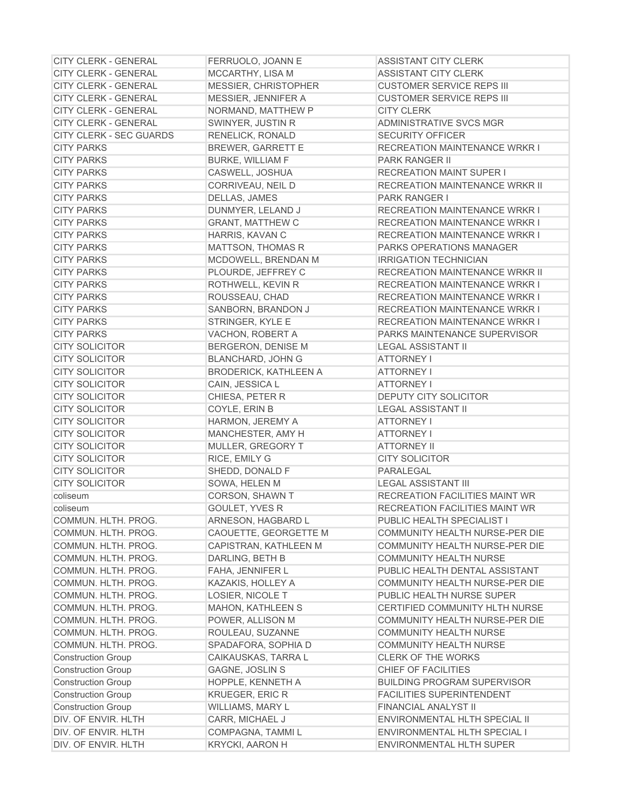| <b>CITY CLERK - GENERAL</b>                | FERRUOLO, JOANN E            | <b>ASSISTANT CITY CLERK</b>                                     |
|--------------------------------------------|------------------------------|-----------------------------------------------------------------|
| <b>CITY CLERK - GENERAL</b>                | MCCARTHY, LISA M             | <b>ASSISTANT CITY CLERK</b>                                     |
| <b>CITY CLERK - GENERAL</b>                | MESSIER, CHRISTOPHER         | <b>CUSTOMER SERVICE REPS III</b>                                |
| <b>CITY CLERK - GENERAL</b>                | MESSIER, JENNIFER A          | <b>CUSTOMER SERVICE REPS III</b>                                |
| <b>CITY CLERK - GENERAL</b>                | NORMAND, MATTHEW P           | <b>CITY CLERK</b>                                               |
| <b>CITY CLERK - GENERAL</b>                | SWINYER, JUSTIN R            | ADMINISTRATIVE SVCS MGR                                         |
| CITY CLERK - SEC GUARDS                    | <b>RENELICK, RONALD</b>      | <b>SECURITY OFFICER</b>                                         |
| <b>CITY PARKS</b>                          | <b>BREWER, GARRETT E</b>     | <b>RECREATION MAINTENANCE WRKR I</b>                            |
| <b>CITY PARKS</b>                          | <b>BURKE, WILLIAM F</b>      | <b>PARK RANGER II</b>                                           |
| <b>CITY PARKS</b>                          | CASWELL, JOSHUA              | <b>RECREATION MAINT SUPER I</b>                                 |
| <b>CITY PARKS</b>                          | CORRIVEAU, NEIL D            | <b>RECREATION MAINTENANCE WRKR II</b>                           |
| <b>CITY PARKS</b>                          | DELLAS, JAMES                | <b>PARK RANGER I</b>                                            |
| <b>CITY PARKS</b>                          | DUNMYER, LELAND J            | <b>RECREATION MAINTENANCE WRKR I</b>                            |
| <b>CITY PARKS</b>                          | <b>GRANT, MATTHEW C</b>      | <b>RECREATION MAINTENANCE WRKR I</b>                            |
| <b>CITY PARKS</b>                          | HARRIS, KAVAN C              | <b>RECREATION MAINTENANCE WRKR I</b>                            |
| <b>CITY PARKS</b>                          | <b>MATTSON, THOMAS R</b>     | <b>PARKS OPERATIONS MANAGER</b>                                 |
| <b>CITY PARKS</b>                          | MCDOWELL, BRENDAN M          | <b>IRRIGATION TECHNICIAN</b>                                    |
| <b>CITY PARKS</b>                          | PLOURDE, JEFFREY C           | RECREATION MAINTENANCE WRKR II                                  |
| <b>CITY PARKS</b>                          | ROTHWELL, KEVIN R            | <b>RECREATION MAINTENANCE WRKR I</b>                            |
| <b>CITY PARKS</b>                          | ROUSSEAU, CHAD               | RECREATION MAINTENANCE WRKR I                                   |
| <b>CITY PARKS</b>                          | SANBORN, BRANDON J           | <b>RECREATION MAINTENANCE WRKR I</b>                            |
| <b>CITY PARKS</b>                          | STRINGER, KYLE E             | <b>RECREATION MAINTENANCE WRKR I</b>                            |
| <b>CITY PARKS</b>                          | VACHON, ROBERT A             | PARKS MAINTENANCE SUPERVISOR                                    |
| <b>CITY SOLICITOR</b>                      | BERGERON, DENISE M           | <b>LEGAL ASSISTANT II</b>                                       |
| <b>CITY SOLICITOR</b>                      | <b>BLANCHARD, JOHN G</b>     | <b>ATTORNEY I</b>                                               |
| <b>CITY SOLICITOR</b>                      | <b>BRODERICK, KATHLEEN A</b> | <b>ATTORNEY I</b>                                               |
| <b>CITY SOLICITOR</b>                      | CAIN, JESSICA L              | <b>ATTORNEY I</b>                                               |
| <b>CITY SOLICITOR</b>                      | CHIESA, PETER R              | DEPUTY CITY SOLICITOR                                           |
| <b>CITY SOLICITOR</b>                      | COYLE, ERIN B                | <b>LEGAL ASSISTANT II</b>                                       |
| <b>CITY SOLICITOR</b>                      | HARMON, JEREMY A             | <b>ATTORNEY I</b>                                               |
| <b>CITY SOLICITOR</b>                      | MANCHESTER, AMY H            | <b>ATTORNEY I</b>                                               |
| <b>CITY SOLICITOR</b>                      | MULLER, GREGORY T            | <b>ATTORNEY II</b>                                              |
| <b>CITY SOLICITOR</b>                      | RICE, EMILY G                | <b>CITY SOLICITOR</b>                                           |
| <b>CITY SOLICITOR</b>                      | SHEDD, DONALD F              | PARALEGAL                                                       |
| <b>CITY SOLICITOR</b>                      | SOWA, HELEN M                | <b>LEGAL ASSISTANT III</b>                                      |
| coliseum                                   | CORSON, SHAWN T              | RECREATION FACILITIES MAINT WR                                  |
| coliseum                                   | GOULET, YVES R               | <b>RECREATION FACILITIES MAINT WR</b>                           |
|                                            | ARNESON, HAGBARD L           | PUBLIC HEALTH SPECIALIST I                                      |
| COMMUN. HLTH. PROG.<br>COMMUN. HLTH. PROG. |                              | COMMUNITY HEALTH NURSE-PER DIE                                  |
|                                            | CAOUETTE, GEORGETTE M        |                                                                 |
| COMMUN. HLTH. PROG.<br>COMMUN. HLTH. PROG. | CAPISTRAN, KATHLEEN M        | COMMUNITY HEALTH NURSE-PER DIE<br><b>COMMUNITY HEALTH NURSE</b> |
|                                            | DARLING, BETH B              |                                                                 |
| COMMUN. HLTH. PROG.                        | FAHA, JENNIFER L             | PUBLIC HEALTH DENTAL ASSISTANT                                  |
| COMMUN. HLTH. PROG.                        | KAZAKIS, HOLLEY A            | COMMUNITY HEALTH NURSE-PER DIE                                  |
| COMMUN. HLTH. PROG.                        | LOSIER, NICOLE T             | PUBLIC HEALTH NURSE SUPER                                       |
| COMMUN. HLTH. PROG.                        | <b>MAHON, KATHLEEN S</b>     | CERTIFIED COMMUNITY HLTH NURSE                                  |
| COMMUN. HLTH. PROG.                        | POWER, ALLISON M             | COMMUNITY HEALTH NURSE-PER DIE                                  |
| COMMUN. HLTH. PROG.                        | ROULEAU, SUZANNE             | <b>COMMUNITY HEALTH NURSE</b>                                   |
| COMMUN. HLTH. PROG.                        | SPADAFORA, SOPHIA D          | <b>COMMUNITY HEALTH NURSE</b>                                   |
| <b>Construction Group</b>                  | CAIKAUSKAS, TARRA L          | <b>CLERK OF THE WORKS</b>                                       |
| <b>Construction Group</b>                  | <b>GAGNE, JOSLIN S</b>       | CHIEF OF FACILITIES                                             |
| <b>Construction Group</b>                  | HOPPLE, KENNETH A            | <b>BUILDING PROGRAM SUPERVISOR</b>                              |
| <b>Construction Group</b>                  | <b>KRUEGER, ERIC R</b>       | <b>FACILITIES SUPERINTENDENT</b>                                |
| <b>Construction Group</b>                  | WILLIAMS, MARY L             | FINANCIAL ANALYST II                                            |
| DIV. OF ENVIR. HLTH                        | CARR, MICHAEL J              | ENVIRONMENTAL HLTH SPECIAL II                                   |
| DIV. OF ENVIR. HLTH                        | COMPAGNA, TAMMI L            | ENVIRONMENTAL HLTH SPECIAL I                                    |
| DIV. OF ENVIR. HLTH                        | <b>KRYCKI, AARON H</b>       | ENVIRONMENTAL HLTH SUPER                                        |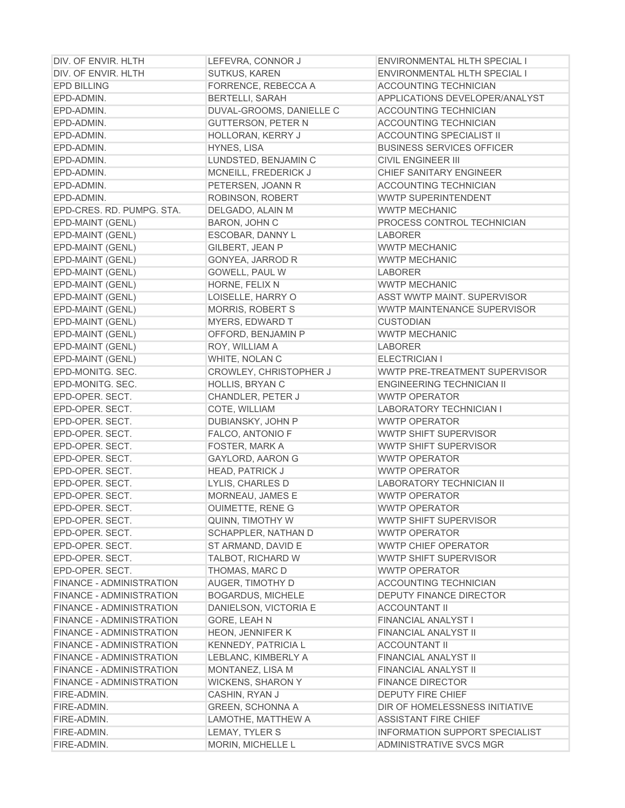| DIV. OF ENVIR. HLTH             | LEFEVRA, CONNOR J          | ENVIRONMENTAL HLTH SPECIAL I          |
|---------------------------------|----------------------------|---------------------------------------|
| DIV. OF ENVIR. HLTH             | <b>SUTKUS, KAREN</b>       | ENVIRONMENTAL HLTH SPECIAL I          |
| <b>EPD BILLING</b>              | FORRENCE, REBECCA A        | ACCOUNTING TECHNICIAN                 |
| EPD-ADMIN.                      | <b>BERTELLI, SARAH</b>     | APPLICATIONS DEVELOPER/ANALYST        |
| EPD-ADMIN.                      | DUVAL-GROOMS, DANIELLE C   | ACCOUNTING TECHNICIAN                 |
| EPD-ADMIN.                      | <b>GUTTERSON, PETER N</b>  | <b>ACCOUNTING TECHNICIAN</b>          |
| EPD-ADMIN.                      | HOLLORAN, KERRY J          | <b>ACCOUNTING SPECIALIST II</b>       |
| EPD-ADMIN.                      | HYNES, LISA                | <b>BUSINESS SERVICES OFFICER</b>      |
| EPD-ADMIN.                      | LUNDSTED, BENJAMIN C       | <b>CIVIL ENGINEER III</b>             |
| EPD-ADMIN.                      | MCNEILL, FREDERICK J       | CHIEF SANITARY ENGINEER               |
| EPD-ADMIN.                      | PETERSEN, JOANN R          | <b>ACCOUNTING TECHNICIAN</b>          |
| EPD-ADMIN.                      | ROBINSON, ROBERT           | WWTP SUPERINTENDENT                   |
| EPD-CRES. RD. PUMPG. STA.       | DELGADO, ALAIN M           | <b>WWTP MECHANIC</b>                  |
| EPD-MAINT (GENL)                | <b>BARON, JOHN C</b>       | PROCESS CONTROL TECHNICIAN            |
| EPD-MAINT (GENL)                | ESCOBAR, DANNY L           | <b>LABORER</b>                        |
| EPD-MAINT (GENL)                | GILBERT, JEAN P            | <b>WWTP MECHANIC</b>                  |
| EPD-MAINT (GENL)                | GONYEA, JARROD R           | <b>WWTP MECHANIC</b>                  |
| EPD-MAINT (GENL)                | GOWELL, PAUL W             | <b>LABORER</b>                        |
| EPD-MAINT (GENL)                | HORNE, FELIX N             | <b>WWTP MECHANIC</b>                  |
| EPD-MAINT (GENL)                | LOISELLE, HARRY O          | <b>ASST WWTP MAINT, SUPERVISOR</b>    |
| EPD-MAINT (GENL)                | <b>MORRIS, ROBERT S</b>    | <b>WWTP MAINTENANCE SUPERVISOR</b>    |
| EPD-MAINT (GENL)                | <b>MYERS, EDWARD T</b>     | <b>CUSTODIAN</b>                      |
| EPD-MAINT (GENL)                | OFFORD, BENJAMIN P         | <b>WWTP MECHANIC</b>                  |
| EPD-MAINT (GENL)                | ROY, WILLIAM A             | <b>LABORER</b>                        |
| EPD-MAINT (GENL)                | WHITE, NOLAN C             | ELECTRICIAN I                         |
| EPD-MONITG. SEC.                | CROWLEY, CHRISTOPHER J     | WWTP PRE-TREATMENT SUPERVISOR         |
| EPD-MONITG. SEC.                | HOLLIS, BRYAN C            | <b>ENGINEERING TECHNICIAN II</b>      |
| EPD-OPER. SECT.                 | CHANDLER, PETER J          | <b>WWTP OPERATOR</b>                  |
| EPD-OPER. SECT.                 | COTE, WILLIAM              | LABORATORY TECHNICIAN I               |
| EPD-OPER. SECT.                 | DUBIANSKY, JOHN P          | <b>WWTP OPERATOR</b>                  |
| EPD-OPER. SECT.                 | FALCO, ANTONIO F           | WWTP SHIFT SUPERVISOR                 |
| EPD-OPER. SECT.                 | FOSTER, MARK A             | WWTP SHIFT SUPERVISOR                 |
| EPD-OPER. SECT.                 | <b>GAYLORD, AARON G</b>    | <b>WWTP OPERATOR</b>                  |
| EPD-OPER. SECT.                 | <b>HEAD, PATRICK J</b>     | <b>WWTP OPERATOR</b>                  |
| EPD-OPER. SECT.                 | LYLIS, CHARLES D           | <b>LABORATORY TECHNICIAN II</b>       |
| EPD-OPER. SECT.                 | MORNEAU, JAMES E           | <b>WWTP OPERATOR</b>                  |
| EPD-OPER. SECT.                 | <b>OUIMETTE, RENE G</b>    | <b>WWTP OPERATOR</b>                  |
| EPD-OPER. SECT.                 | QUINN, TIMOTHY W           | WWTP SHIFT SUPERVISOR                 |
| EPD-OPER. SECT.                 | SCHAPPLER, NATHAN D        | <b>WWTP OPERATOR</b>                  |
| EPD-OPER. SECT.                 | ST ARMAND, DAVID E         | <b>WWTP CHIEF OPERATOR</b>            |
| EPD-OPER. SECT.                 | <b>TALBOT, RICHARD W</b>   | WWTP SHIFT SUPERVISOR                 |
| EPD-OPER. SECT.                 | THOMAS, MARC D             | <b>WWTP OPERATOR</b>                  |
| <b>FINANCE - ADMINISTRATION</b> | <b>AUGER, TIMOTHY D</b>    | <b>ACCOUNTING TECHNICIAN</b>          |
| <b>FINANCE - ADMINISTRATION</b> | <b>BOGARDUS, MICHELE</b>   | <b>DEPUTY FINANCE DIRECTOR</b>        |
| <b>FINANCE - ADMINISTRATION</b> | DANIELSON, VICTORIA E      | <b>ACCOUNTANT II</b>                  |
| <b>FINANCE - ADMINISTRATION</b> | GORE, LEAH N               | <b>FINANCIAL ANALYST I</b>            |
| <b>FINANCE - ADMINISTRATION</b> | <b>HEON, JENNIFER K</b>    | <b>FINANCIAL ANALYST II</b>           |
| <b>FINANCE - ADMINISTRATION</b> | <b>KENNEDY, PATRICIA L</b> | <b>ACCOUNTANT II</b>                  |
| <b>FINANCE - ADMINISTRATION</b> | LEBLANC, KIMBERLY A        | <b>FINANCIAL ANALYST II</b>           |
| <b>FINANCE - ADMINISTRATION</b> | MONTANEZ, LISA M           | <b>FINANCIAL ANALYST II</b>           |
| <b>FINANCE - ADMINISTRATION</b> | <b>WICKENS, SHARON Y</b>   | <b>FINANCE DIRECTOR</b>               |
| FIRE-ADMIN.                     | CASHIN, RYAN J             | <b>DEPUTY FIRE CHIEF</b>              |
| FIRE-ADMIN.                     | <b>GREEN, SCHONNA A</b>    | DIR OF HOMELESSNESS INITIATIVE        |
| FIRE-ADMIN.                     | LAMOTHE, MATTHEW A         | <b>ASSISTANT FIRE CHIEF</b>           |
| FIRE-ADMIN.                     | LEMAY, TYLER S             | <b>INFORMATION SUPPORT SPECIALIST</b> |
| FIRE-ADMIN.                     | MORIN, MICHELLE L          | ADMINISTRATIVE SVCS MGR               |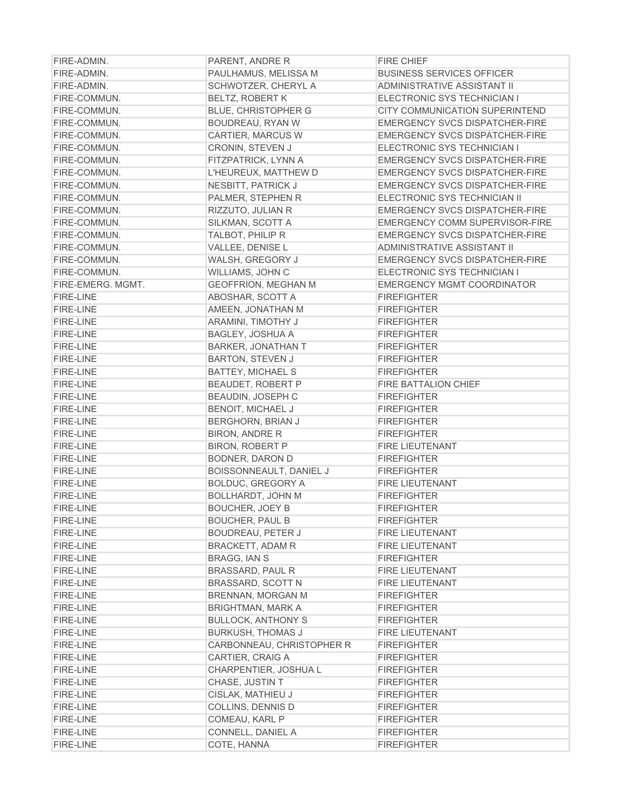| FIRE-ADMIN.       | PARENT, ANDRE R            | <b>FIRE CHIEF</b>                     |
|-------------------|----------------------------|---------------------------------------|
| FIRE-ADMIN.       | PAULHAMUS, MELISSA M       | <b>BUSINESS SERVICES OFFICER</b>      |
| FIRE-ADMIN.       | SCHWOTZER, CHERYL A        | <b>ADMINISTRATIVE ASSISTANT II</b>    |
| FIRE-COMMUN.      | <b>BELTZ, ROBERT K</b>     | ELECTRONIC SYS TECHNICIAN I           |
| FIRE-COMMUN.      | <b>BLUE, CHRISTOPHER G</b> | CITY COMMUNICATION SUPERINTEND        |
| FIRE-COMMUN.      | BOUDREAU, RYAN W           | EMERGENCY SVCS DISPATCHER-FIRE        |
| FIRE-COMMUN.      | CARTIER, MARCUS W          | <b>EMERGENCY SVCS DISPATCHER-FIRE</b> |
| FIRE-COMMUN.      | CRONIN, STEVEN J           | ELECTRONIC SYS TECHNICIAN I           |
| FIRE-COMMUN.      | FITZPATRICK, LYNN A        | <b>EMERGENCY SVCS DISPATCHER-FIRE</b> |
| FIRE-COMMUN.      | L'HEUREUX, MATTHEW D       | EMERGENCY SVCS DISPATCHER-FIRE        |
| FIRE-COMMUN.      | <b>NESBITT, PATRICK J</b>  | <b>EMERGENCY SVCS DISPATCHER-FIRE</b> |
| FIRE-COMMUN.      | PALMER, STEPHEN R          | ELECTRONIC SYS TECHNICIAN II          |
| FIRE-COMMUN.      | RIZZUTO, JULIAN R          | EMERGENCY SVCS DISPATCHER-FIRE        |
| FIRE-COMMUN.      | SILKMAN, SCOTT A           | EMERGENCY COMM SUPERVISOR-FIRE        |
| FIRE-COMMUN.      | <b>TALBOT, PHILIP R</b>    | EMERGENCY SVCS DISPATCHER-FIRE        |
| FIRE-COMMUN.      | VALLEE, DENISE L           | <b>ADMINISTRATIVE ASSISTANT II</b>    |
| FIRE-COMMUN.      | WALSH, GREGORY J           | EMERGENCY SVCS DISPATCHER-FIRE        |
| FIRE-COMMUN.      | WILLIAMS, JOHN C           | ELECTRONIC SYS TECHNICIAN I           |
| FIRE-EMERG. MGMT. | <b>GEOFFRION, MEGHAN M</b> | <b>EMERGENCY MGMT COORDINATOR</b>     |
| <b>FIRE-LINE</b>  | ABOSHAR, SCOTT A           | <b>FIREFIGHTER</b>                    |
| <b>FIRE-LINE</b>  | AMEEN, JONATHAN M          | <b>FIREFIGHTER</b>                    |
| <b>FIRE-LINE</b>  | <b>ARAMINI, TIMOTHY J</b>  | <b>FIREFIGHTER</b>                    |
| <b>FIRE-LINE</b>  | BAGLEY, JOSHUA A           | <b>FIREFIGHTER</b>                    |
| <b>FIRE-LINE</b>  | <b>BARKER, JONATHAN T</b>  | <b>FIREFIGHTER</b>                    |
| <b>FIRE-LINE</b>  | <b>BARTON, STEVEN J</b>    | <b>FIREFIGHTER</b>                    |
| <b>FIRE-LINE</b>  | <b>BATTEY, MICHAEL S</b>   | <b>FIREFIGHTER</b>                    |
| <b>FIRE-LINE</b>  | BEAUDET, ROBERT P          | FIRE BATTALION CHIEF                  |
| <b>FIRE-LINE</b>  | BEAUDIN, JOSEPH C          | <b>FIREFIGHTER</b>                    |
| <b>FIRE-LINE</b>  | <b>BENOIT, MICHAEL J</b>   | <b>FIREFIGHTER</b>                    |
| <b>FIRE-LINE</b>  | BERGHORN, BRIAN J          | <b>FIREFIGHTER</b>                    |
| <b>FIRE-LINE</b>  | <b>BIRON, ANDRE R</b>      | <b>FIREFIGHTER</b>                    |
| <b>FIRE-LINE</b>  | <b>BIRON, ROBERT P</b>     | <b>FIRE LIEUTENANT</b>                |
| <b>FIRE-LINE</b>  | BODNER, DARON D            | <b>FIREFIGHTER</b>                    |
| <b>FIRE-LINE</b>  | BOISSONNEAULT, DANIEL J    | <b>FIREFIGHTER</b>                    |
| <b>FIRE-LINE</b>  | <b>BOLDUC, GREGORY A</b>   | <b>FIRE LIEUTENANT</b>                |
| <b>FIRE-LINE</b>  | <b>BOLLHARDT, JOHN M</b>   | <b>FIREFIGHTER</b>                    |
| <b>FIRE-LINE</b>  | <b>BOUCHER, JOEY B</b>     | <b>FIREFIGHTER</b>                    |
| <b>FIRE-LINE</b>  | <b>BOUCHER, PAUL B</b>     | <b>FIREFIGHTER</b>                    |
| <b>FIRE-LINE</b>  | <b>BOUDREAU, PETER J</b>   | FIRE LIEUTENANT                       |
| <b>FIRE-LINE</b>  | <b>BRACKETT, ADAM R</b>    | <b>FIRE LIEUTENANT</b>                |
| <b>FIRE-LINE</b>  | <b>BRAGG, IAN S</b>        | <b>FIREFIGHTER</b>                    |
| <b>FIRE-LINE</b>  | <b>BRASSARD, PAUL R</b>    | FIRE LIEUTENANT                       |
| <b>FIRE-LINE</b>  | BRASSARD, SCOTT N          | FIRE LIEUTENANT                       |
| <b>FIRE-LINE</b>  | <b>BRENNAN, MORGAN M</b>   | <b>FIREFIGHTER</b>                    |
| <b>FIRE-LINE</b>  | <b>BRIGHTMAN, MARK A</b>   | <b>FIREFIGHTER</b>                    |
| <b>FIRE-LINE</b>  | <b>BULLOCK, ANTHONY S</b>  | <b>FIREFIGHTER</b>                    |
| <b>FIRE-LINE</b>  | <b>BURKUSH, THOMAS J</b>   | <b>FIRE LIEUTENANT</b>                |
| <b>FIRE-LINE</b>  | CARBONNEAU, CHRISTOPHER R  | <b>FIREFIGHTER</b>                    |
| <b>FIRE-LINE</b>  | CARTIER, CRAIG A           | <b>FIREFIGHTER</b>                    |
| <b>FIRE-LINE</b>  | CHARPENTIER, JOSHUA L      | <b>FIREFIGHTER</b>                    |
| <b>FIRE-LINE</b>  | CHASE, JUSTIN T            | <b>FIREFIGHTER</b>                    |
| <b>FIRE-LINE</b>  | CISLAK, MATHIEU J          | <b>FIREFIGHTER</b>                    |
| <b>FIRE-LINE</b>  | COLLINS, DENNIS D          | <b>FIREFIGHTER</b>                    |
| <b>FIRE-LINE</b>  | COMEAU, KARL P             | <b>FIREFIGHTER</b>                    |
| <b>FIRE-LINE</b>  | CONNELL, DANIEL A          | <b>FIREFIGHTER</b>                    |
| <b>FIRE-LINE</b>  | COTE, HANNA                | <b>FIREFIGHTER</b>                    |
|                   |                            |                                       |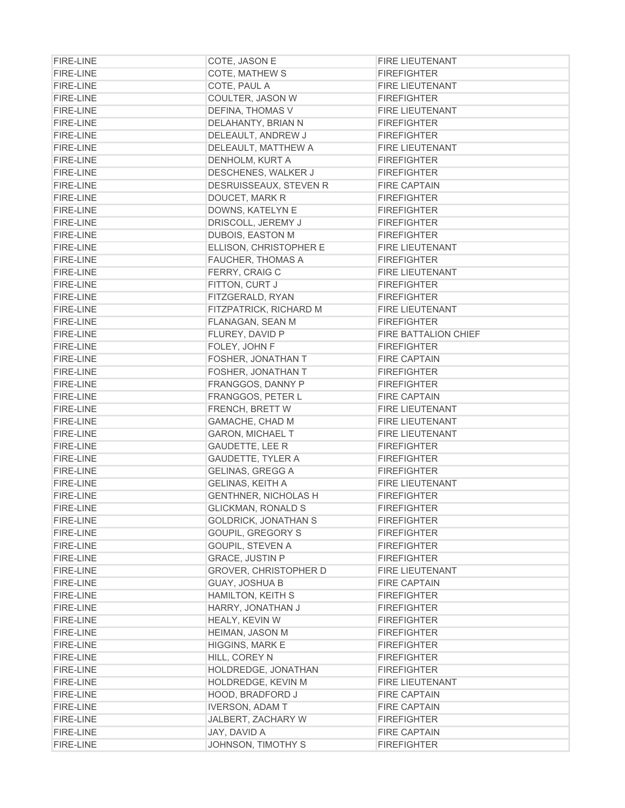| <b>FIRE-LINE</b>                     | COTE, JASON E                | <b>FIRE LIEUTENANT</b>                        |
|--------------------------------------|------------------------------|-----------------------------------------------|
| <b>FIRE-LINE</b>                     | COTE, MATHEW S               | <b>FIREFIGHTER</b>                            |
| <b>FIRE-LINE</b>                     | COTE, PAUL A                 | <b>FIRE LIEUTENANT</b>                        |
| <b>FIRE-LINE</b>                     | COULTER, JASON W             | <b>FIREFIGHTER</b>                            |
| <b>FIRE-LINE</b>                     | DEFINA, THOMAS V             | <b>FIRE LIEUTENANT</b>                        |
| <b>FIRE-LINE</b>                     | DELAHANTY, BRIAN N           | <b>FIREFIGHTER</b>                            |
| <b>FIRE-LINE</b>                     | DELEAULT, ANDREW J           | <b>FIREFIGHTER</b>                            |
| <b>FIRE-LINE</b>                     | DELEAULT, MATTHEW A          | FIRE LIEUTENANT                               |
| <b>FIRE-LINE</b>                     | DENHOLM, KURT A              | <b>FIREFIGHTER</b>                            |
| <b>FIRE-LINE</b>                     | DESCHENES, WALKER J          | <b>FIREFIGHTER</b>                            |
| <b>FIRE-LINE</b>                     | DESRUISSEAUX, STEVEN R       | <b>FIRE CAPTAIN</b>                           |
| <b>FIRE-LINE</b>                     | DOUCET, MARK R               | <b>FIREFIGHTER</b>                            |
| <b>FIRE-LINE</b>                     | DOWNS, KATELYN E             | <b>FIREFIGHTER</b>                            |
| <b>FIRE-LINE</b>                     | DRISCOLL, JEREMY J           | <b>FIREFIGHTER</b>                            |
| <b>FIRE-LINE</b>                     | DUBOIS, EASTON M             | <b>FIREFIGHTER</b>                            |
| <b>FIRE-LINE</b>                     | ELLISON, CHRISTOPHER E       | <b>FIRE LIEUTENANT</b>                        |
| <b>FIRE-LINE</b>                     | <b>FAUCHER, THOMAS A</b>     | <b>FIREFIGHTER</b>                            |
| <b>FIRE-LINE</b>                     | FERRY, CRAIG C               | <b>FIRE LIEUTENANT</b>                        |
| <b>FIRE-LINE</b>                     | FITTON, CURT J               | <b>FIREFIGHTER</b>                            |
| <b>FIRE-LINE</b>                     | FITZGERALD, RYAN             | <b>FIREFIGHTER</b>                            |
| <b>FIRE-LINE</b>                     | FITZPATRICK, RICHARD M       | <b>FIRE LIEUTENANT</b>                        |
| <b>FIRE-LINE</b>                     | <b>FLANAGAN, SEAN M</b>      | <b>FIREFIGHTER</b>                            |
| <b>FIRE-LINE</b>                     | FLUREY, DAVID P              | <b>FIRE BATTALION CHIEF</b>                   |
| <b>FIRE-LINE</b>                     | FOLEY, JOHN F                | <b>FIREFIGHTER</b>                            |
| <b>FIRE-LINE</b>                     | FOSHER, JONATHAN T           | <b>FIRE CAPTAIN</b>                           |
| <b>FIRE-LINE</b>                     | FOSHER, JONATHAN T           | <b>FIREFIGHTER</b>                            |
| <b>FIRE-LINE</b>                     | FRANGGOS, DANNY P            | <b>FIREFIGHTER</b>                            |
| <b>FIRE-LINE</b>                     | FRANGGOS, PETER L            | <b>FIRE CAPTAIN</b>                           |
| <b>FIRE-LINE</b>                     | FRENCH, BRETT W              | <b>FIRE LIEUTENANT</b>                        |
| <b>FIRE-LINE</b>                     | GAMACHE, CHAD M              | <b>FIRE LIEUTENANT</b>                        |
| <b>FIRE-LINE</b>                     | <b>GARON, MICHAEL T</b>      | <b>FIRE LIEUTENANT</b>                        |
| <b>FIRE-LINE</b>                     | <b>GAUDETTE, LEE R</b>       | <b>FIREFIGHTER</b>                            |
| <b>FIRE-LINE</b>                     | <b>GAUDETTE, TYLER A</b>     | <b>FIREFIGHTER</b>                            |
| <b>FIRE-LINE</b>                     | GELINAS, GREGG A             | <b>FIREFIGHTER</b>                            |
| <b>FIRE-LINE</b>                     | <b>GELINAS, KEITH A</b>      | <b>FIRE LIEUTENANT</b>                        |
| <b>FIRE-LINE</b>                     | <b>GENTHNER, NICHOLAS H</b>  | <b>FIREFIGHTER</b>                            |
| <b>FIRE-LINE</b>                     | <b>GLICKMAN, RONALD S</b>    | <b>FIREFIGHTER</b>                            |
| <b>FIRE-LINE</b>                     | <b>GOLDRICK, JONATHAN S</b>  | <b>FIREFIGHTER</b>                            |
| <b>FIRE-LINE</b>                     | <b>GOUPIL, GREGORY S</b>     | <b>FIREFIGHTER</b>                            |
| <b>FIRE-LINE</b>                     | GOUPIL, STEVEN A             | <b>FIREFIGHTER</b>                            |
| <b>FIRE-LINE</b>                     | <b>GRACE, JUSTIN P</b>       | <b>FIREFIGHTER</b>                            |
| <b>FIRE-LINE</b>                     | <b>GROVER, CHRISTOPHER D</b> | FIRE LIEUTENANT                               |
| <b>FIRE-LINE</b>                     | <b>GUAY, JOSHUA B</b>        | <b>FIRE CAPTAIN</b>                           |
| <b>FIRE-LINE</b>                     | <b>HAMILTON, KEITH S</b>     | <b>FIREFIGHTER</b>                            |
| <b>FIRE-LINE</b>                     | HARRY, JONATHAN J            | <b>FIREFIGHTER</b>                            |
| <b>FIRE-LINE</b>                     | <b>HEALY, KEVIN W</b>        | <b>FIREFIGHTER</b>                            |
| <b>FIRE-LINE</b>                     | <b>HEIMAN, JASON M</b>       | <b>FIREFIGHTER</b>                            |
| <b>FIRE-LINE</b>                     | HIGGINS, MARK E              |                                               |
| FIRE-LINE                            | HILL, COREY N                | <b>FIREFIGHTER</b><br><b>FIREFIGHTER</b>      |
| <b>FIRE-LINE</b>                     | HOLDREDGE, JONATHAN          | <b>FIREFIGHTER</b>                            |
|                                      | HOLDREDGE, KEVIN M           |                                               |
| <b>FIRE-LINE</b><br><b>FIRE-LINE</b> | <b>HOOD, BRADFORD J</b>      | <b>FIRE LIEUTENANT</b><br><b>FIRE CAPTAIN</b> |
| <b>FIRE-LINE</b>                     |                              | <b>FIRE CAPTAIN</b>                           |
| <b>FIRE-LINE</b>                     | <b>IVERSON, ADAM T</b>       |                                               |
|                                      | JALBERT, ZACHARY W           | <b>FIREFIGHTER</b>                            |
| <b>FIRE-LINE</b>                     | JAY, DAVID A                 | <b>FIRE CAPTAIN</b>                           |
| <b>FIRE-LINE</b>                     | JOHNSON, TIMOTHY S           | <b>FIREFIGHTER</b>                            |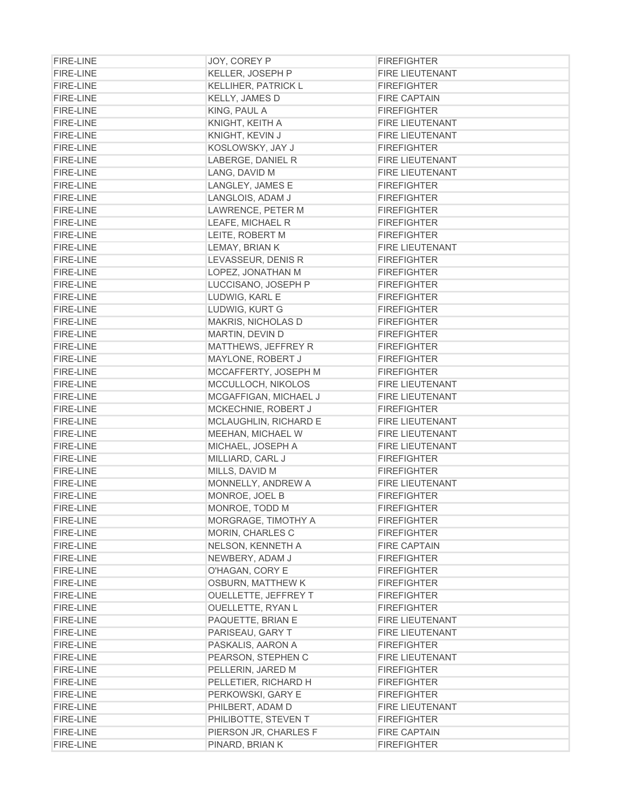| <b>FIRE-LINE</b>                     | JOY, COREY P                                   | <b>FIREFIGHTER</b>     |
|--------------------------------------|------------------------------------------------|------------------------|
| <b>FIRE-LINE</b>                     | KELLER, JOSEPH P                               | <b>FIRE LIEUTENANT</b> |
| <b>FIRE-LINE</b>                     | <b>KELLIHER, PATRICK L</b>                     | <b>FIREFIGHTER</b>     |
| <b>FIRE-LINE</b>                     | <b>KELLY, JAMES D</b>                          | <b>FIRE CAPTAIN</b>    |
| <b>FIRE-LINE</b>                     | KING, PAUL A                                   | <b>FIREFIGHTER</b>     |
| <b>FIRE-LINE</b>                     | KNIGHT, KEITH A                                | <b>FIRE LIEUTENANT</b> |
| FIRE-LINE                            | KNIGHT, KEVIN J                                | <b>FIRE LIEUTENANT</b> |
| <b>FIRE-LINE</b>                     | KOSLOWSKY, JAY J                               | <b>FIREFIGHTER</b>     |
| <b>FIRE-LINE</b>                     | LABERGE, DANIEL R                              | <b>FIRE LIEUTENANT</b> |
| <b>FIRE-LINE</b>                     | LANG, DAVID M                                  | <b>FIRE LIEUTENANT</b> |
| <b>FIRE-LINE</b>                     | LANGLEY, JAMES E                               | <b>FIREFIGHTER</b>     |
| <b>FIRE-LINE</b>                     | LANGLOIS, ADAM J                               | <b>FIREFIGHTER</b>     |
| <b>FIRE-LINE</b>                     | LAWRENCE, PETER M                              | <b>FIREFIGHTER</b>     |
| <b>FIRE-LINE</b>                     | LEAFE, MICHAEL R                               | <b>FIREFIGHTER</b>     |
| <b>FIRE-LINE</b>                     | LEITE, ROBERT M                                | <b>FIREFIGHTER</b>     |
| <b>FIRE-LINE</b>                     | LEMAY, BRIAN K                                 | <b>FIRE LIEUTENANT</b> |
| <b>FIRE-LINE</b>                     | LEVASSEUR, DENIS R                             | <b>FIREFIGHTER</b>     |
| <b>FIRE-LINE</b>                     | LOPEZ, JONATHAN M                              | <b>FIREFIGHTER</b>     |
| <b>FIRE-LINE</b>                     | LUCCISANO, JOSEPH P                            | <b>FIREFIGHTER</b>     |
| <b>FIRE-LINE</b>                     | LUDWIG, KARL E                                 | <b>FIREFIGHTER</b>     |
| <b>FIRE-LINE</b>                     | LUDWIG, KURT G                                 | <b>FIREFIGHTER</b>     |
| <b>FIRE-LINE</b>                     | MAKRIS, NICHOLAS D                             | <b>FIREFIGHTER</b>     |
| <b>FIRE-LINE</b>                     | MARTIN, DEVIN D                                | <b>FIREFIGHTER</b>     |
| <b>FIRE-LINE</b>                     | MATTHEWS, JEFFREY R                            | <b>FIREFIGHTER</b>     |
| <b>FIRE-LINE</b>                     | MAYLONE, ROBERT J                              | <b>FIREFIGHTER</b>     |
| <b>FIRE-LINE</b>                     | MCCAFFERTY, JOSEPH M                           | <b>FIREFIGHTER</b>     |
| <b>FIRE-LINE</b>                     | MCCULLOCH, NIKOLOS                             | <b>FIRE LIEUTENANT</b> |
| <b>FIRE-LINE</b>                     | MCGAFFIGAN, MICHAEL J                          | <b>FIRE LIEUTENANT</b> |
| <b>FIRE-LINE</b>                     | MCKECHNIE, ROBERT J                            | <b>FIREFIGHTER</b>     |
| <b>FIRE-LINE</b>                     | MCLAUGHLIN, RICHARD E                          | <b>FIRE LIEUTENANT</b> |
| <b>FIRE-LINE</b>                     | MEEHAN, MICHAEL W                              | <b>FIRE LIEUTENANT</b> |
| <b>FIRE-LINE</b>                     | MICHAEL, JOSEPH A                              | <b>FIRE LIEUTENANT</b> |
| <b>FIRE-LINE</b>                     | MILLIARD, CARL J                               | <b>FIREFIGHTER</b>     |
| <b>FIRE-LINE</b>                     | MILLS, DAVID M                                 | <b>FIREFIGHTER</b>     |
| <b>FIRE-LINE</b>                     | MONNELLY, ANDREW A                             | <b>FIRE LIEUTENANT</b> |
|                                      | MONROE, JOEL B                                 | <b>FIREFIGHTER</b>     |
| <b>FIRE-LINE</b><br><b>FIRE-LINE</b> |                                                | <b>FIREFIGHTER</b>     |
|                                      | MONROE, TODD M                                 |                        |
| <b>FIRE-LINE</b>                     | MORGRAGE, TIMOTHY A<br><b>MORIN, CHARLES C</b> | <b>FIREFIGHTER</b>     |
| <b>FIRE-LINE</b>                     |                                                | <b>FIREFIGHTER</b>     |
| <b>FIRE-LINE</b>                     | NELSON, KENNETH A                              | <b>FIRE CAPTAIN</b>    |
| <b>FIRE-LINE</b>                     | NEWBERY, ADAM J                                | <b>FIREFIGHTER</b>     |
| <b>FIRE-LINE</b>                     | O'HAGAN, CORY E                                | <b>FIREFIGHTER</b>     |
| <b>FIRE-LINE</b>                     | <b>OSBURN, MATTHEW K</b>                       | <b>FIREFIGHTER</b>     |
| <b>FIRE-LINE</b>                     | OUELLETTE, JEFFREY T                           | <b>FIREFIGHTER</b>     |
| <b>FIRE-LINE</b>                     | OUELLETTE, RYAN L                              | <b>FIREFIGHTER</b>     |
| <b>FIRE-LINE</b>                     | PAQUETTE, BRIAN E                              | <b>FIRE LIEUTENANT</b> |
| <b>FIRE-LINE</b>                     | PARISEAU, GARY T                               | <b>FIRE LIEUTENANT</b> |
| <b>FIRE-LINE</b>                     | PASKALIS, AARON A                              | <b>FIREFIGHTER</b>     |
| <b>FIRE-LINE</b>                     | PEARSON, STEPHEN C                             | <b>FIRE LIEUTENANT</b> |
| <b>FIRE-LINE</b>                     | PELLERIN, JARED M                              | <b>FIREFIGHTER</b>     |
| <b>FIRE-LINE</b>                     | PELLETIER, RICHARD H                           | <b>FIREFIGHTER</b>     |
| <b>FIRE-LINE</b>                     | PERKOWSKI, GARY E                              | <b>FIREFIGHTER</b>     |
| <b>FIRE-LINE</b>                     | PHILBERT, ADAM D                               | <b>FIRE LIEUTENANT</b> |
| <b>FIRE-LINE</b>                     | PHILIBOTTE, STEVEN T                           | <b>FIREFIGHTER</b>     |
| <b>FIRE-LINE</b>                     | PIERSON JR, CHARLES F                          | <b>FIRE CAPTAIN</b>    |
| <b>FIRE-LINE</b>                     | PINARD, BRIAN K                                | <b>FIREFIGHTER</b>     |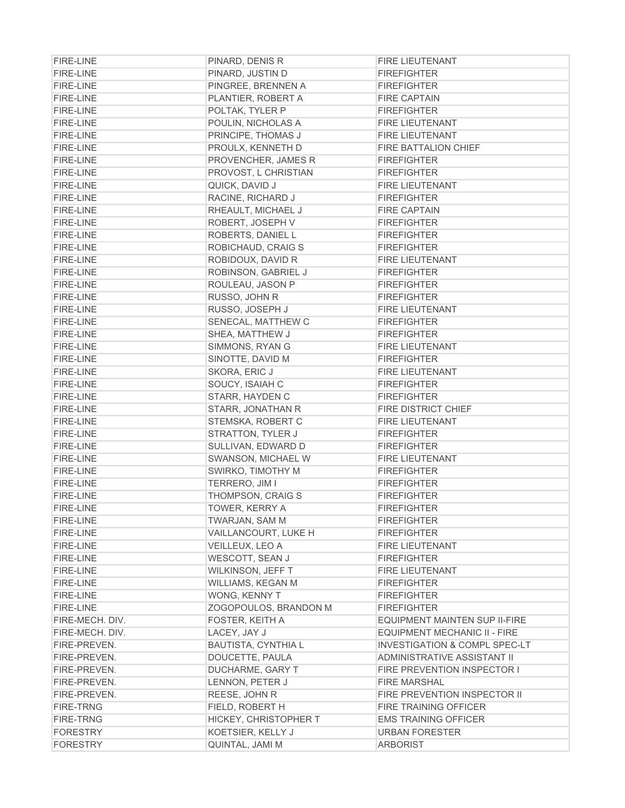| <b>FIRE-LINE</b> | PINARD, DENIS R                        | <b>FIRE LIEUTENANT</b>                                        |
|------------------|----------------------------------------|---------------------------------------------------------------|
| <b>FIRE-LINE</b> | PINARD, JUSTIN D                       | <b>FIREFIGHTER</b>                                            |
| <b>FIRE-LINE</b> | PINGREE, BRENNEN A                     | <b>FIREFIGHTER</b>                                            |
| <b>FIRE-LINE</b> | PLANTIER, ROBERT A                     | <b>FIRE CAPTAIN</b>                                           |
| <b>FIRE-LINE</b> | POLTAK, TYLER P                        | <b>FIREFIGHTER</b>                                            |
| <b>FIRE-LINE</b> | POULIN, NICHOLAS A                     | FIRE LIEUTENANT                                               |
| <b>FIRE-LINE</b> | PRINCIPE, THOMAS J                     | FIRE LIEUTENANT                                               |
| <b>FIRE-LINE</b> | PROULX, KENNETH D                      | <b>FIRE BATTALION CHIEF</b>                                   |
| <b>FIRE-LINE</b> | PROVENCHER, JAMES R                    | <b>FIREFIGHTER</b>                                            |
| <b>FIRE-LINE</b> | PROVOST, L CHRISTIAN                   | <b>FIREFIGHTER</b>                                            |
| <b>FIRE-LINE</b> | QUICK, DAVID J                         | <b>FIRE LIEUTENANT</b>                                        |
| <b>FIRE-LINE</b> | RACINE, RICHARD J                      | <b>FIREFIGHTER</b>                                            |
| <b>FIRE-LINE</b> | RHEAULT, MICHAEL J                     | <b>FIRE CAPTAIN</b>                                           |
| <b>FIRE-LINE</b> | ROBERT, JOSEPH V                       | <b>FIREFIGHTER</b>                                            |
| <b>FIRE-LINE</b> | ROBERTS, DANIEL L                      | <b>FIREFIGHTER</b>                                            |
| <b>FIRE-LINE</b> | ROBICHAUD, CRAIG S                     | <b>FIREFIGHTER</b>                                            |
| <b>FIRE-LINE</b> | ROBIDOUX, DAVID R                      | <b>FIRE LIEUTENANT</b>                                        |
| <b>FIRE-LINE</b> | ROBINSON, GABRIEL J                    | <b>FIREFIGHTER</b>                                            |
| <b>FIRE-LINE</b> | ROULEAU, JASON P                       | <b>FIREFIGHTER</b>                                            |
| <b>FIRE-LINE</b> | RUSSO, JOHN R                          | <b>FIREFIGHTER</b>                                            |
| <b>FIRE-LINE</b> | RUSSO, JOSEPH J                        | <b>FIRE LIEUTENANT</b>                                        |
| <b>FIRE-LINE</b> | SENECAL, MATTHEW C                     | <b>FIREFIGHTER</b>                                            |
| <b>FIRE-LINE</b> | SHEA, MATTHEW J                        | <b>FIREFIGHTER</b>                                            |
| <b>FIRE-LINE</b> | SIMMONS, RYAN G                        | <b>FIRE LIEUTENANT</b>                                        |
| <b>FIRE-LINE</b> | SINOTTE, DAVID M                       | <b>FIREFIGHTER</b>                                            |
| <b>FIRE-LINE</b> | SKORA, ERIC J                          | <b>FIRE LIEUTENANT</b>                                        |
| <b>FIRE-LINE</b> | SOUCY, ISAIAH C                        | <b>FIREFIGHTER</b>                                            |
| <b>FIRE-LINE</b> | STARR, HAYDEN C                        | <b>FIREFIGHTER</b>                                            |
| <b>FIRE-LINE</b> | STARR, JONATHAN R                      | <b>FIRE DISTRICT CHIEF</b>                                    |
| <b>FIRE-LINE</b> | STEMSKA, ROBERT C                      | <b>FIRE LIEUTENANT</b>                                        |
| <b>FIRE-LINE</b> | STRATTON, TYLER J                      | <b>FIREFIGHTER</b>                                            |
| <b>FIRE-LINE</b> | SULLIVAN, EDWARD D                     | <b>FIREFIGHTER</b>                                            |
| <b>FIRE-LINE</b> | SWANSON, MICHAEL W                     | <b>FIRE LIEUTENANT</b>                                        |
| <b>FIRE-LINE</b> | SWIRKO, TIMOTHY M                      | <b>FIREFIGHTER</b>                                            |
| <b>FIRE-LINE</b> | TERRERO, JIM I                         | <b>FIREFIGHTER</b>                                            |
| <b>FIRE-LINE</b> | THOMPSON, CRAIG S                      | <b>FIREFIGHTER</b>                                            |
| <b>FIRE-LINE</b> | TOWER, KERRY A                         | <b>FIREFIGHTER</b>                                            |
| <b>FIRE-LINE</b> | TWARJAN, SAM M                         | <b>FIREFIGHTER</b>                                            |
| <b>FIRE-LINE</b> | VAILLANCOURT, LUKE H                   | <b>FIREFIGHTER</b>                                            |
| <b>FIRE-LINE</b> | VEILLEUX, LEO A                        | <b>FIRE LIEUTENANT</b>                                        |
| <b>FIRE-LINE</b> | <b>WESCOTT, SEAN J</b>                 | <b>FIREFIGHTER</b>                                            |
| <b>FIRE-LINE</b> | WILKINSON, JEFF T                      | <b>FIRE LIEUTENANT</b>                                        |
| <b>FIRE-LINE</b> | WILLIAMS, KEGAN M                      | <b>FIREFIGHTER</b>                                            |
| <b>FIRE-LINE</b> | WONG, KENNY T                          | <b>FIREFIGHTER</b>                                            |
| <b>FIRE-LINE</b> | ZOGOPOULOS, BRANDON M                  | <b>FIREFIGHTER</b>                                            |
| FIRE-MECH, DIV.  |                                        |                                                               |
| FIRE-MECH. DIV.  | <b>FOSTER, KEITH A</b><br>LACEY, JAY J | EQUIPMENT MAINTEN SUP II-FIRE<br>EQUIPMENT MECHANIC II - FIRE |
| FIRE-PREVEN.     | <b>BAUTISTA, CYNTHIA L</b>             | <b>INVESTIGATION &amp; COMPL SPEC-LT</b>                      |
| FIRE-PREVEN.     | DOUCETTE, PAULA                        | ADMINISTRATIVE ASSISTANT II                                   |
| FIRE-PREVEN.     |                                        | <b>FIRE PREVENTION INSPECTOR I</b>                            |
| FIRE-PREVEN.     | DUCHARME, GARY T                       | <b>FIRE MARSHAL</b>                                           |
| FIRE-PREVEN.     | LENNON, PETER J<br>REESE, JOHN R       | FIRE PREVENTION INSPECTOR II                                  |
| <b>FIRE-TRNG</b> |                                        | <b>FIRE TRAINING OFFICER</b>                                  |
| <b>FIRE-TRNG</b> | FIELD, ROBERT H                        | <b>EMS TRAINING OFFICER</b>                                   |
| <b>FORESTRY</b>  | <b>HICKEY, CHRISTOPHER T</b>           | <b>URBAN FORESTER</b>                                         |
| <b>FORESTRY</b>  | KOETSIER, KELLY J<br>QUINTAL, JAMI M   | <b>ARBORIST</b>                                               |
|                  |                                        |                                                               |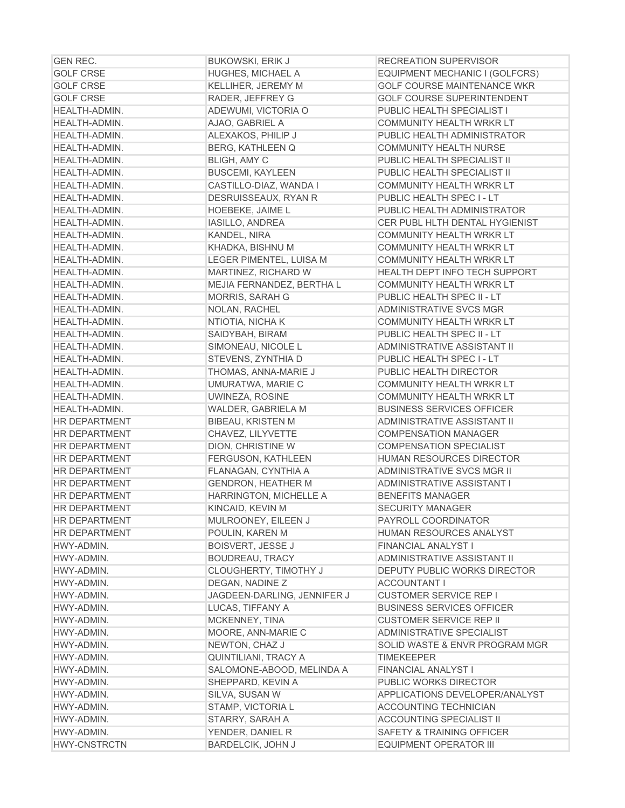| <b>GEN REC.</b>      | <b>BUKOWSKI, ERIK J</b>     | <b>RECREATION SUPERVISOR</b>         |
|----------------------|-----------------------------|--------------------------------------|
| <b>GOLF CRSE</b>     | <b>HUGHES, MICHAEL A</b>    | EQUIPMENT MECHANIC I (GOLFCRS)       |
| <b>GOLF CRSE</b>     | KELLIHER, JEREMY M          | <b>GOLF COURSE MAINTENANCE WKR</b>   |
| <b>GOLF CRSE</b>     | RADER, JEFFREY G            | <b>GOLF COURSE SUPERINTENDENT</b>    |
| HEALTH-ADMIN.        | ADEWUMI, VICTORIA O         | PUBLIC HEALTH SPECIALIST I           |
| HEALTH-ADMIN.        | AJAO, GABRIEL A             | COMMUNITY HEALTH WRKR LT             |
| HEALTH-ADMIN.        | ALEXAKOS, PHILIP J          | PUBLIC HEALTH ADMINISTRATOR          |
| HEALTH-ADMIN.        | <b>BERG, KATHLEEN Q</b>     | <b>COMMUNITY HEALTH NURSE</b>        |
| HEALTH-ADMIN.        | <b>BLIGH, AMY C</b>         | PUBLIC HEALTH SPECIALIST II          |
| HEALTH-ADMIN.        | <b>BUSCEMI, KAYLEEN</b>     | PUBLIC HEALTH SPECIALIST II          |
| HEALTH-ADMIN.        | CASTILLO-DIAZ, WANDA I      | COMMUNITY HEALTH WRKR LT             |
| HEALTH-ADMIN.        | DESRUISSEAUX, RYAN R        | PUBLIC HEALTH SPEC I - LT            |
| HEALTH-ADMIN.        | <b>HOEBEKE, JAIME L</b>     | PUBLIC HEALTH ADMINISTRATOR          |
| HEALTH-ADMIN.        | IASILLO, ANDREA             | CER PUBL HLTH DENTAL HYGIENIST       |
| HEALTH-ADMIN.        | KANDEL, NIRA                | COMMUNITY HEALTH WRKR LT             |
| HEALTH-ADMIN.        | KHADKA, BISHNU M            | COMMUNITY HEALTH WRKR LT             |
| HEALTH-ADMIN.        | LEGER PIMENTEL, LUISA M     | COMMUNITY HEALTH WRKR LT             |
| HEALTH-ADMIN.        | MARTINEZ, RICHARD W         | HEALTH DEPT INFO TECH SUPPORT        |
| HEALTH-ADMIN.        | MEJIA FERNANDEZ, BERTHA L   | COMMUNITY HEALTH WRKR LT             |
| HEALTH-ADMIN.        | MORRIS, SARAH G             | PUBLIC HEALTH SPEC II - LT           |
| <b>HEALTH-ADMIN.</b> | NOLAN, RACHEL               | ADMINISTRATIVE SVCS MGR              |
| HEALTH-ADMIN.        | NTIOTIA, NICHA K            | COMMUNITY HEALTH WRKR LT             |
| HEALTH-ADMIN.        | SAIDYBAH, BIRAM             | PUBLIC HEALTH SPEC II - LT           |
| HEALTH-ADMIN.        | SIMONEAU, NICOLE L          | ADMINISTRATIVE ASSISTANT II          |
| HEALTH-ADMIN.        | STEVENS, ZYNTHIA D          | PUBLIC HEALTH SPEC I - LT            |
| HEALTH-ADMIN.        | THOMAS, ANNA-MARIE J        | PUBLIC HEALTH DIRECTOR               |
| HEALTH-ADMIN.        | UMURATWA, MARIE C           | COMMUNITY HEALTH WRKR LT             |
| HEALTH-ADMIN.        | UWINEZA, ROSINE             | COMMUNITY HEALTH WRKR LT             |
| HEALTH-ADMIN.        | WALDER, GABRIELA M          | <b>BUSINESS SERVICES OFFICER</b>     |
| <b>HR DEPARTMENT</b> | <b>BIBEAU, KRISTEN M</b>    | ADMINISTRATIVE ASSISTANT II          |
| <b>HR DEPARTMENT</b> | CHAVEZ, LILYVETTE           | <b>COMPENSATION MANAGER</b>          |
| <b>HR DEPARTMENT</b> | DION, CHRISTINE W           | <b>COMPENSATION SPECIALIST</b>       |
| <b>HR DEPARTMENT</b> | <b>FERGUSON, KATHLEEN</b>   | <b>HUMAN RESOURCES DIRECTOR</b>      |
| <b>HR DEPARTMENT</b> | FLANAGAN, CYNTHIA A         | <b>ADMINISTRATIVE SVCS MGR II</b>    |
| <b>HR DEPARTMENT</b> | <b>GENDRON, HEATHER M</b>   | ADMINISTRATIVE ASSISTANT I           |
| <b>HR DEPARTMENT</b> | HARRINGTON, MICHELLE A      | <b>BENEFITS MANAGER</b>              |
| <b>HR DEPARTMENT</b> | KINCAID, KEVIN M            | <b>SECURITY MANAGER</b>              |
| <b>HR DEPARTMENT</b> | MULROONEY, EILEEN J         | PAYROLL COORDINATOR                  |
| <b>HR DEPARTMENT</b> | POULIN, KAREN M             | HUMAN RESOURCES ANALYST              |
| HWY-ADMIN.           | <b>BOISVERT, JESSE J</b>    | <b>FINANCIAL ANALYST I</b>           |
| HWY-ADMIN.           | <b>BOUDREAU, TRACY</b>      | ADMINISTRATIVE ASSISTANT II          |
| HWY-ADMIN.           | CLOUGHERTY, TIMOTHY J       | <b>DEPUTY PUBLIC WORKS DIRECTOR</b>  |
| HWY-ADMIN.           | DEGAN, NADINE Z             | <b>ACCOUNTANT I</b>                  |
| HWY-ADMIN.           | JAGDEEN-DARLING, JENNIFER J | <b>CUSTOMER SERVICE REP I</b>        |
| HWY-ADMIN.           | LUCAS, TIFFANY A            | <b>BUSINESS SERVICES OFFICER</b>     |
| HWY-ADMIN.           | MCKENNEY, TINA              | <b>CUSTOMER SERVICE REP II</b>       |
| HWY-ADMIN.           | MOORE, ANN-MARIE C          | <b>ADMINISTRATIVE SPECIALIST</b>     |
| HWY-ADMIN.           | NEWTON, CHAZ J              | SOLID WASTE & ENVR PROGRAM MGR       |
| HWY-ADMIN.           | QUINTILIANI, TRACY A        | TIMEKEEPER                           |
| HWY-ADMIN.           | SALOMONE-ABOOD, MELINDA A   | <b>FINANCIAL ANALYST I</b>           |
| HWY-ADMIN.           | SHEPPARD, KEVIN A           | PUBLIC WORKS DIRECTOR                |
| HWY-ADMIN.           | SILVA, SUSAN W              | APPLICATIONS DEVELOPER/ANALYST       |
| HWY-ADMIN.           | STAMP, VICTORIA L           | <b>ACCOUNTING TECHNICIAN</b>         |
| HWY-ADMIN.           | STARRY, SARAH A             | <b>ACCOUNTING SPECIALIST II</b>      |
| HWY-ADMIN.           | YENDER, DANIEL R            | <b>SAFETY &amp; TRAINING OFFICER</b> |
| <b>HWY-CNSTRCTN</b>  | BARDELCIK, JOHN J           | EQUIPMENT OPERATOR III               |
|                      |                             |                                      |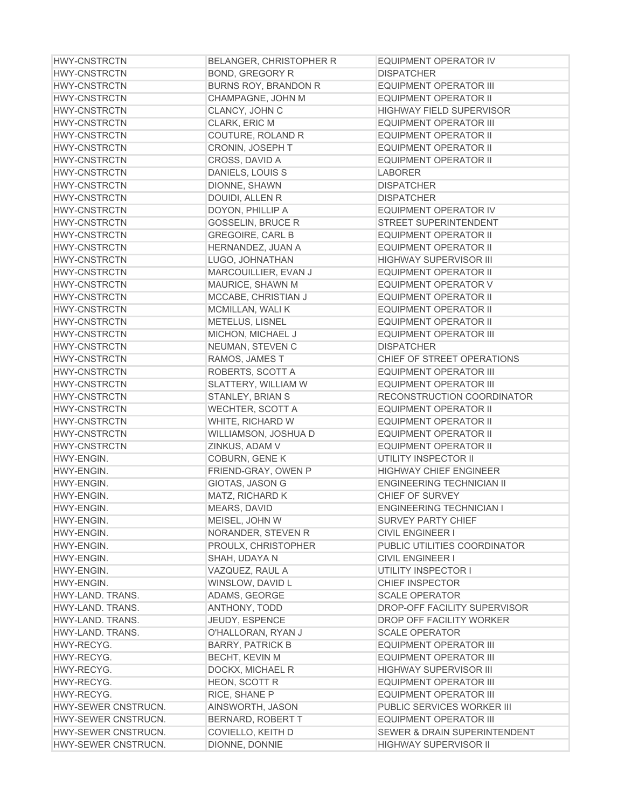| <b>HWY-CNSTRCTN</b> | <b>BELANGER, CHRISTOPHER R</b> | <b>EQUIPMENT OPERATOR IV</b>            |
|---------------------|--------------------------------|-----------------------------------------|
| <b>HWY-CNSTRCTN</b> | <b>BOND, GREGORY R</b>         | <b>DISPATCHER</b>                       |
| <b>HWY-CNSTRCTN</b> | <b>BURNS ROY, BRANDON R</b>    | <b>EQUIPMENT OPERATOR III</b>           |
| <b>HWY-CNSTRCTN</b> | CHAMPAGNE, JOHN M              | <b>EQUIPMENT OPERATOR II</b>            |
| <b>HWY-CNSTRCTN</b> | CLANCY, JOHN C                 | <b>HIGHWAY FIELD SUPERVISOR</b>         |
| <b>HWY-CNSTRCTN</b> | CLARK, ERIC M                  | <b>EQUIPMENT OPERATOR III</b>           |
| <b>HWY-CNSTRCTN</b> | COUTURE, ROLAND R              | <b>EQUIPMENT OPERATOR II</b>            |
| <b>HWY-CNSTRCTN</b> | CRONIN, JOSEPH T               | <b>EQUIPMENT OPERATOR II</b>            |
| <b>HWY-CNSTRCTN</b> | CROSS, DAVID A                 | <b>EQUIPMENT OPERATOR II</b>            |
| <b>HWY-CNSTRCTN</b> | DANIELS, LOUIS S               | <b>LABORER</b>                          |
| <b>HWY-CNSTRCTN</b> | DIONNE, SHAWN                  | <b>DISPATCHER</b>                       |
| <b>HWY-CNSTRCTN</b> | DOUIDI, ALLEN R                | <b>DISPATCHER</b>                       |
| <b>HWY-CNSTRCTN</b> | DOYON, PHILLIP A               | <b>EQUIPMENT OPERATOR IV</b>            |
| <b>HWY-CNSTRCTN</b> | <b>GOSSELIN, BRUCE R</b>       | STREET SUPERINTENDENT                   |
| <b>HWY-CNSTRCTN</b> | <b>GREGOIRE, CARL B</b>        | <b>EQUIPMENT OPERATOR II</b>            |
| <b>HWY-CNSTRCTN</b> | HERNANDEZ, JUAN A              | <b>EQUIPMENT OPERATOR II</b>            |
| <b>HWY-CNSTRCTN</b> | LUGO, JOHNATHAN                | <b>HIGHWAY SUPERVISOR III</b>           |
| <b>HWY-CNSTRCTN</b> | MARCOUILLIER, EVAN J           | <b>EQUIPMENT OPERATOR II</b>            |
| <b>HWY-CNSTRCTN</b> | MAURICE, SHAWN M               | <b>EQUIPMENT OPERATOR V</b>             |
| <b>HWY-CNSTRCTN</b> | MCCABE, CHRISTIAN J            | <b>EQUIPMENT OPERATOR II</b>            |
| <b>HWY-CNSTRCTN</b> | MCMILLAN, WALI K               | <b>EQUIPMENT OPERATOR II</b>            |
| <b>HWY-CNSTRCTN</b> | METELUS, LISNEL                | EQUIPMENT OPERATOR II                   |
| <b>HWY-CNSTRCTN</b> | MICHON, MICHAEL J              | <b>EQUIPMENT OPERATOR III</b>           |
| <b>HWY-CNSTRCTN</b> | NEUMAN, STEVEN C               | <b>DISPATCHER</b>                       |
| <b>HWY-CNSTRCTN</b> | RAMOS, JAMES T                 | CHIEF OF STREET OPERATIONS              |
| <b>HWY-CNSTRCTN</b> | ROBERTS, SCOTT A               | EQUIPMENT OPERATOR III                  |
| <b>HWY-CNSTRCTN</b> | SLATTERY, WILLIAM W            | EQUIPMENT OPERATOR III                  |
| <b>HWY-CNSTRCTN</b> | STANLEY, BRIAN S               | RECONSTRUCTION COORDINATOR              |
| <b>HWY-CNSTRCTN</b> | <b>WECHTER, SCOTT A</b>        | <b>EQUIPMENT OPERATOR II</b>            |
| <b>HWY-CNSTRCTN</b> | WHITE, RICHARD W               | <b>EQUIPMENT OPERATOR II</b>            |
| <b>HWY-CNSTRCTN</b> | WILLIAMSON, JOSHUA D           | <b>EQUIPMENT OPERATOR II</b>            |
| <b>HWY-CNSTRCTN</b> | ZINKUS, ADAM V                 | <b>EQUIPMENT OPERATOR II</b>            |
| HWY-ENGIN.          | COBURN, GENE K                 | UTILITY INSPECTOR II                    |
| HWY-ENGIN.          | FRIEND-GRAY, OWEN P            | <b>HIGHWAY CHIEF ENGINEER</b>           |
| HWY-ENGIN.          | GIOTAS, JASON G                | <b>ENGINEERING TECHNICIAN II</b>        |
| HWY-ENGIN.          | MATZ, RICHARD K                | CHIEF OF SURVEY                         |
| HWY-ENGIN.          | <b>MEARS, DAVID</b>            | <b>ENGINEERING TECHNICIAN I</b>         |
| HWY-ENGIN.          | MEISEL, JOHN W                 | <b>SURVEY PARTY CHIEF</b>               |
| HWY-ENGIN.          | NORANDER, STEVEN R             | <b>CIVIL ENGINEER I</b>                 |
| HWY-ENGIN.          | PROULX, CHRISTOPHER            | PUBLIC UTILITIES COORDINATOR            |
| HWY-ENGIN.          | SHAH, UDAYA N                  | <b>CIVIL ENGINEER I</b>                 |
| HWY-ENGIN.          | VAZQUEZ, RAUL A                | UTILITY INSPECTOR I                     |
| HWY-ENGIN.          | WINSLOW, DAVID L               | <b>CHIEF INSPECTOR</b>                  |
| HWY-LAND, TRANS.    | ADAMS, GEORGE                  | <b>SCALE OPERATOR</b>                   |
| HWY-LAND. TRANS.    | ANTHONY, TODD                  | DROP-OFF FACILITY SUPERVISOR            |
| HWY-LAND. TRANS.    | JEUDY, ESPENCE                 | DROP OFF FACILITY WORKER                |
| HWY-LAND. TRANS.    | O'HALLORAN, RYAN J             | <b>SCALE OPERATOR</b>                   |
| HWY-RECYG.          | <b>BARRY, PATRICK B</b>        | <b>EQUIPMENT OPERATOR III</b>           |
| HWY-RECYG.          | <b>BECHT, KEVIN M</b>          | <b>EQUIPMENT OPERATOR III</b>           |
| HWY-RECYG.          | DOCKX, MICHAEL R               | HIGHWAY SUPERVISOR III                  |
| HWY-RECYG.          | HEON, SCOTT R                  | EQUIPMENT OPERATOR III                  |
| HWY-RECYG.          | RICE, SHANE P                  | EQUIPMENT OPERATOR III                  |
| HWY-SEWER CNSTRUCN. | AINSWORTH, JASON               | PUBLIC SERVICES WORKER III              |
| HWY-SEWER CNSTRUCN. | BERNARD, ROBERT T              | EQUIPMENT OPERATOR III                  |
| HWY-SEWER CNSTRUCN. | COVIELLO, KEITH D              | <b>SEWER &amp; DRAIN SUPERINTENDENT</b> |
| HWY-SEWER CNSTRUCN. | DIONNE, DONNIE                 | <b>HIGHWAY SUPERVISOR II</b>            |
|                     |                                |                                         |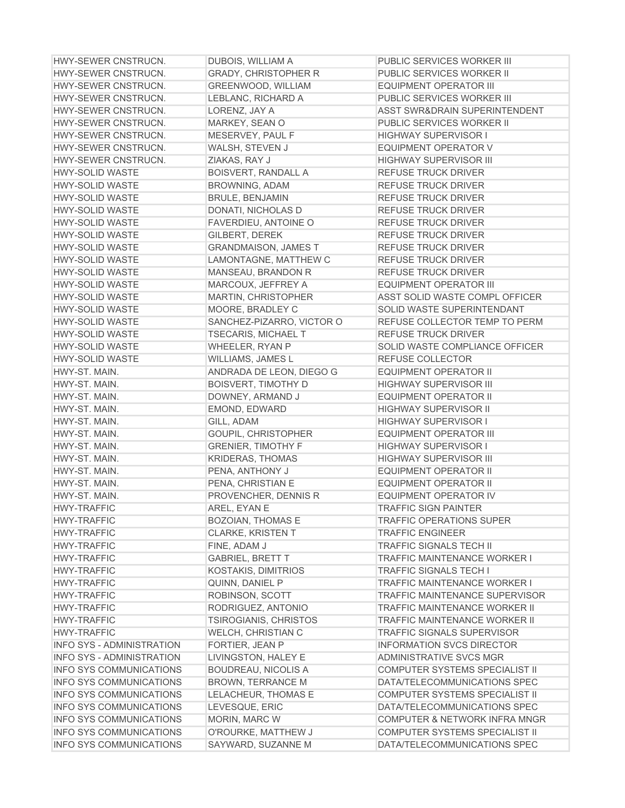| <b>HWY-SEWER CNSTRUCN.</b>       | DUBOIS, WILLIAM A            | PUBLIC SERVICES WORKER III            |
|----------------------------------|------------------------------|---------------------------------------|
| HWY-SEWER CNSTRUCN.              | <b>GRADY, CHRISTOPHER R</b>  | PUBLIC SERVICES WORKER II             |
| HWY-SEWER CNSTRUCN.              | GREENWOOD, WILLIAM           | <b>EQUIPMENT OPERATOR III</b>         |
| HWY-SEWER CNSTRUCN.              | LEBLANC, RICHARD A           | PUBLIC SERVICES WORKER III            |
| HWY-SEWER CNSTRUCN.              | LORENZ, JAY A                | ASST SWR&DRAIN SUPERINTENDENT         |
| HWY-SEWER CNSTRUCN.              | MARKEY, SEAN O               | PUBLIC SERVICES WORKER II             |
| HWY-SEWER CNSTRUCN.              | MESERVEY, PAUL F             | <b>HIGHWAY SUPERVISOR I</b>           |
| HWY-SEWER CNSTRUCN.              | WALSH, STEVEN J              | <b>EQUIPMENT OPERATOR V</b>           |
| HWY-SEWER CNSTRUCN.              | ZIAKAS, RAY J                | <b>HIGHWAY SUPERVISOR III</b>         |
| <b>HWY-SOLID WASTE</b>           | <b>BOISVERT, RANDALL A</b>   | <b>REFUSE TRUCK DRIVER</b>            |
| <b>HWY-SOLID WASTE</b>           | <b>BROWNING, ADAM</b>        | REFUSE TRUCK DRIVER                   |
| <b>HWY-SOLID WASTE</b>           | <b>BRULE, BENJAMIN</b>       | REFUSE TRUCK DRIVER                   |
| <b>HWY-SOLID WASTE</b>           | DONATI, NICHOLAS D           | <b>REFUSE TRUCK DRIVER</b>            |
| <b>HWY-SOLID WASTE</b>           | FAVERDIEU, ANTOINE O         | REFUSE TRUCK DRIVER                   |
| <b>HWY-SOLID WASTE</b>           | GILBERT, DEREK               | <b>REFUSE TRUCK DRIVER</b>            |
| <b>HWY-SOLID WASTE</b>           | <b>GRANDMAISON, JAMES T</b>  | <b>REFUSE TRUCK DRIVER</b>            |
| <b>HWY-SOLID WASTE</b>           | LAMONTAGNE, MATTHEW C        | <b>REFUSE TRUCK DRIVER</b>            |
| <b>HWY-SOLID WASTE</b>           | MANSEAU, BRANDON R           | <b>REFUSE TRUCK DRIVER</b>            |
| <b>HWY-SOLID WASTE</b>           | MARCOUX, JEFFREY A           | <b>EQUIPMENT OPERATOR III</b>         |
| <b>HWY-SOLID WASTE</b>           | <b>MARTIN, CHRISTOPHER</b>   | ASST SOLID WASTE COMPL OFFICER        |
| <b>HWY-SOLID WASTE</b>           | MOORE, BRADLEY C             | <b>SOLID WASTE SUPERINTENDANT</b>     |
| <b>HWY-SOLID WASTE</b>           | SANCHEZ-PIZARRO, VICTOR O    | REFUSE COLLECTOR TEMP TO PERM         |
| <b>HWY-SOLID WASTE</b>           |                              | <b>REFUSE TRUCK DRIVER</b>            |
|                                  | <b>TSECARIS, MICHAEL T</b>   |                                       |
| <b>HWY-SOLID WASTE</b>           | <b>WHEELER, RYAN P</b>       | SOLID WASTE COMPLIANCE OFFICER        |
| <b>HWY-SOLID WASTE</b>           | WILLIAMS, JAMES L            | REFUSE COLLECTOR                      |
| HWY-ST. MAIN.                    | ANDRADA DE LEON, DIEGO G     | <b>EQUIPMENT OPERATOR II</b>          |
| HWY-ST. MAIN.                    | <b>BOISVERT, TIMOTHY D</b>   | <b>HIGHWAY SUPERVISOR III</b>         |
| HWY-ST. MAIN.                    | DOWNEY, ARMAND J             | <b>EQUIPMENT OPERATOR II</b>          |
| HWY-ST. MAIN.                    | EMOND, EDWARD                | <b>HIGHWAY SUPERVISOR II</b>          |
| HWY-ST, MAIN.                    | GILL, ADAM                   | <b>HIGHWAY SUPERVISOR I</b>           |
| HWY-ST. MAIN.                    | GOUPIL, CHRISTOPHER          | <b>EQUIPMENT OPERATOR III</b>         |
| HWY-ST. MAIN.                    | <b>GRENIER, TIMOTHY F</b>    | <b>HIGHWAY SUPERVISOR I</b>           |
| HWY-ST. MAIN.                    | <b>KRIDERAS, THOMAS</b>      | <b>HIGHWAY SUPERVISOR III</b>         |
| HWY-ST. MAIN.                    | PENA, ANTHONY J              | <b>EQUIPMENT OPERATOR II</b>          |
| HWY-ST. MAIN.                    | PENA, CHRISTIAN E            | <b>EQUIPMENT OPERATOR II</b>          |
| HWY-ST. MAIN.                    | PROVENCHER, DENNIS R         | <b>EQUIPMENT OPERATOR IV</b>          |
| <b>HWY-TRAFFIC</b>               | AREL, EYAN E                 | <b>TRAFFIC SIGN PAINTER</b>           |
| HWY-TRAFFIC                      | <b>BOZOIAN, THOMAS E</b>     | TRAFFIC OPERATIONS SUPER              |
| <b>HWY-TRAFFIC</b>               | <b>CLARKE, KRISTEN T</b>     | <b>TRAFFIC ENGINEER</b>               |
| <b>HWY-TRAFFIC</b>               | FINE, ADAM J                 | <b>TRAFFIC SIGNALS TECH II</b>        |
| <b>HWY-TRAFFIC</b>               | <b>GABRIEL, BRETT T</b>      | <b>TRAFFIC MAINTENANCE WORKER I</b>   |
| <b>HWY-TRAFFIC</b>               | <b>KOSTAKIS, DIMITRIOS</b>   | <b>TRAFFIC SIGNALS TECH I</b>         |
| <b>HWY-TRAFFIC</b>               | QUINN, DANIEL P              | <b>TRAFFIC MAINTENANCE WORKER I</b>   |
| <b>HWY-TRAFFIC</b>               | ROBINSON, SCOTT              | <b>TRAFFIC MAINTENANCE SUPERVISOR</b> |
| <b>HWY-TRAFFIC</b>               | RODRIGUEZ, ANTONIO           | <b>TRAFFIC MAINTENANCE WORKER II</b>  |
| <b>HWY-TRAFFIC</b>               | <b>TSIROGIANIS, CHRISTOS</b> | TRAFFIC MAINTENANCE WORKER II         |
| HWY-TRAFFIC                      | WELCH, CHRISTIAN C           | <b>TRAFFIC SIGNALS SUPERVISOR</b>     |
| <b>INFO SYS - ADMINISTRATION</b> | FORTIER, JEAN P              | <b>INFORMATION SVCS DIRECTOR</b>      |
| <b>INFO SYS - ADMINISTRATION</b> | LIVINGSTON, HALEY E          | ADMINISTRATIVE SVCS MGR               |
| <b>INFO SYS COMMUNICATIONS</b>   | <b>BOUDREAU, NICOLIS A</b>   | COMPUTER SYSTEMS SPECIALIST II        |
| <b>INFO SYS COMMUNICATIONS</b>   | <b>BROWN, TERRANCE M</b>     | DATA/TELECOMMUNICATIONS SPEC          |
| <b>INFO SYS COMMUNICATIONS</b>   | <b>LELACHEUR, THOMAS E</b>   | <b>COMPUTER SYSTEMS SPECIALIST II</b> |
| <b>INFO SYS COMMUNICATIONS</b>   | LEVESQUE, ERIC               | DATA/TELECOMMUNICATIONS SPEC          |
| <b>INFO SYS COMMUNICATIONS</b>   | MORIN, MARC W                | COMPUTER & NETWORK INFRA MNGR         |
| <b>INFO SYS COMMUNICATIONS</b>   | O'ROURKE, MATTHEW J          | COMPUTER SYSTEMS SPECIALIST II        |
| INFO SYS COMMUNICATIONS          | SAYWARD, SUZANNE M           | DATA/TELECOMMUNICATIONS SPEC          |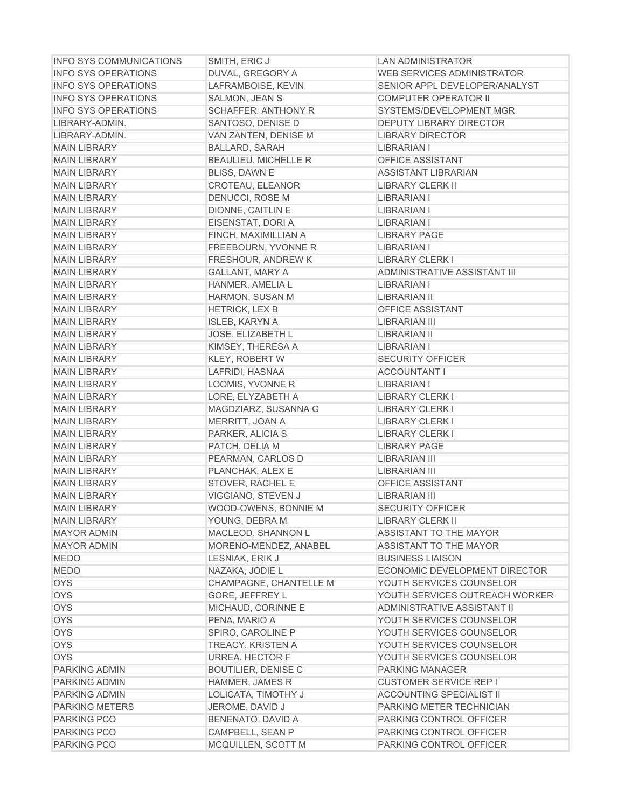| <b>INFO SYS COMMUNICATIONS</b> | SMITH, ERIC J               | <b>LAN ADMINISTRATOR</b>        |
|--------------------------------|-----------------------------|---------------------------------|
| <b>INFO SYS OPERATIONS</b>     | DUVAL, GREGORY A            | WEB SERVICES ADMINISTRATOR      |
| <b>INFO SYS OPERATIONS</b>     | LAFRAMBOISE, KEVIN          | SENIOR APPL DEVELOPER/ANALYST   |
| <b>INFO SYS OPERATIONS</b>     | SALMON, JEAN S              | <b>COMPUTER OPERATOR II</b>     |
| <b>INFO SYS OPERATIONS</b>     | <b>SCHAFFER, ANTHONY R</b>  | SYSTEMS/DEVELOPMENT MGR         |
| LIBRARY-ADMIN.                 | SANTOSO, DENISE D           | <b>DEPUTY LIBRARY DIRECTOR</b>  |
| LIBRARY-ADMIN.                 | VAN ZANTEN, DENISE M        | <b>LIBRARY DIRECTOR</b>         |
| <b>MAIN LIBRARY</b>            | <b>BALLARD, SARAH</b>       | LIBRARIAN I                     |
| <b>MAIN LIBRARY</b>            | <b>BEAULIEU, MICHELLE R</b> | OFFICE ASSISTANT                |
| <b>MAIN LIBRARY</b>            | BLISS, DAWN E               | <b>ASSISTANT LIBRARIAN</b>      |
| <b>MAIN LIBRARY</b>            | CROTEAU, ELEANOR            | <b>LIBRARY CLERK II</b>         |
| <b>MAIN LIBRARY</b>            | DENUCCI, ROSE M             | <b>LIBRARIAN I</b>              |
| <b>MAIN LIBRARY</b>            | DIONNE, CAITLIN E           | <b>LIBRARIAN I</b>              |
| <b>MAIN LIBRARY</b>            | EISENSTAT, DORI A           | <b>LIBRARIAN I</b>              |
| <b>MAIN LIBRARY</b>            | FINCH, MAXIMILLIAN A        | <b>LIBRARY PAGE</b>             |
| <b>MAIN LIBRARY</b>            | FREEBOURN, YVONNE R         | <b>LIBRARIAN I</b>              |
| <b>MAIN LIBRARY</b>            | FRESHOUR, ANDREW K          | <b>LIBRARY CLERK I</b>          |
| <b>MAIN LIBRARY</b>            | <b>GALLANT, MARY A</b>      | ADMINISTRATIVE ASSISTANT III    |
| <b>MAIN LIBRARY</b>            | HANMER, AMELIA L            | LIBRARIAN I                     |
| <b>MAIN LIBRARY</b>            | HARMON, SUSAN M             | <b>LIBRARIAN II</b>             |
| <b>MAIN LIBRARY</b>            | <b>HETRICK, LEX B</b>       | <b>OFFICE ASSISTANT</b>         |
| <b>MAIN LIBRARY</b>            | <b>ISLEB, KARYN A</b>       | LIBRARIAN III                   |
| <b>MAIN LIBRARY</b>            | JOSE, ELIZABETH L           | LIBRARIAN II                    |
| <b>MAIN LIBRARY</b>            | KIMSEY, THERESA A           | LIBRARIAN I                     |
| <b>MAIN LIBRARY</b>            | <b>KLEY, ROBERT W</b>       | <b>SECURITY OFFICER</b>         |
| <b>MAIN LIBRARY</b>            | LAFRIDI, HASNAA             | <b>ACCOUNTANT I</b>             |
| <b>MAIN LIBRARY</b>            | LOOMIS, YVONNE R            | <b>LIBRARIAN I</b>              |
| <b>MAIN LIBRARY</b>            | LORE, ELYZABETH A           | <b>LIBRARY CLERK I</b>          |
| <b>MAIN LIBRARY</b>            |                             | <b>LIBRARY CLERK I</b>          |
|                                | MAGDZIARZ, SUSANNA G        |                                 |
| <b>MAIN LIBRARY</b>            | MERRITT, JOAN A             | <b>LIBRARY CLERK I</b>          |
| <b>MAIN LIBRARY</b>            | PARKER, ALICIA S            | <b>LIBRARY CLERK I</b>          |
| <b>MAIN LIBRARY</b>            | PATCH, DELIA M              | <b>LIBRARY PAGE</b>             |
| <b>MAIN LIBRARY</b>            | PEARMAN, CARLOS D           | <b>LIBRARIAN III</b>            |
| <b>MAIN LIBRARY</b>            | PLANCHAK, ALEX E            | <b>LIBRARIAN III</b>            |
| <b>MAIN LIBRARY</b>            | STOVER, RACHEL E            | <b>OFFICE ASSISTANT</b>         |
| <b>MAIN LIBRARY</b>            | VIGGIANO, STEVEN J          | <b>LIBRARIAN III</b>            |
| <b>MAIN LIBRARY</b>            | WOOD-OWENS, BONNIE M        | <b>SECURITY OFFICER</b>         |
| <b>MAIN LIBRARY</b>            | YOUNG, DEBRA M              | LIBRARY CLERK II                |
| <b>MAYOR ADMIN</b>             | MACLEOD, SHANNON L          | ASSISTANT TO THE MAYOR          |
| <b>MAYOR ADMIN</b>             | MORENO-MENDEZ, ANABEL       | ASSISTANT TO THE MAYOR          |
| <b>MEDO</b>                    | LESNIAK, ERIK J             | <b>BUSINESS LIAISON</b>         |
| <b>MEDO</b>                    | NAZAKA, JODIE L             | ECONOMIC DEVELOPMENT DIRECTOR   |
| <b>OYS</b>                     | CHAMPAGNE, CHANTELLE M      | YOUTH SERVICES COUNSELOR        |
| <b>OYS</b>                     | GORE, JEFFREY L             | YOUTH SERVICES OUTREACH WORKER  |
| <b>OYS</b>                     | MICHAUD, CORINNE E          | ADMINISTRATIVE ASSISTANT II     |
| <b>OYS</b>                     | PENA, MARIO A               | YOUTH SERVICES COUNSELOR        |
| <b>OYS</b>                     | SPIRO, CAROLINE P           | YOUTH SERVICES COUNSELOR        |
| <b>OYS</b>                     | TREACY, KRISTEN A           | YOUTH SERVICES COUNSELOR        |
| <b>OYS</b>                     | URREA, HECTOR F             | YOUTH SERVICES COUNSELOR        |
| PARKING ADMIN                  | <b>BOUTILIER, DENISE C</b>  | PARKING MANAGER                 |
| PARKING ADMIN                  | HAMMER, JAMES R             | <b>CUSTOMER SERVICE REP I</b>   |
| PARKING ADMIN                  | LOLICATA, TIMOTHY J         | <b>ACCOUNTING SPECIALIST II</b> |
| <b>PARKING METERS</b>          | JEROME, DAVID J             | PARKING METER TECHNICIAN        |
| PARKING PCO                    | BENENATO, DAVID A           | PARKING CONTROL OFFICER         |
| <b>PARKING PCO</b>             | CAMPBELL, SEAN P            | PARKING CONTROL OFFICER         |
| PARKING PCO                    | MCQUILLEN, SCOTT M          | PARKING CONTROL OFFICER         |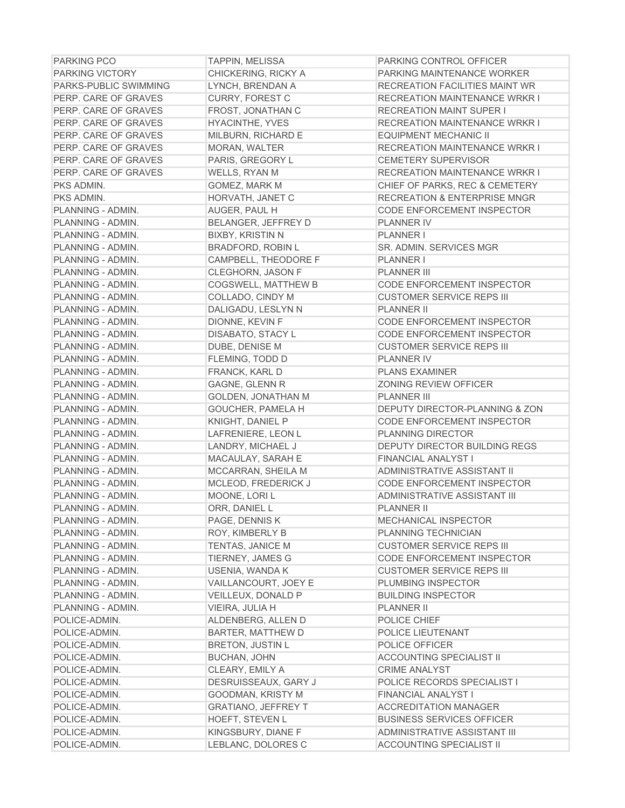| <b>PARKING PCO</b>    | <b>TAPPIN, MELISSA</b>     | PARKING CONTROL OFFICER                   |
|-----------------------|----------------------------|-------------------------------------------|
| PARKING VICTORY       | CHICKERING, RICKY A        | PARKING MAINTENANCE WORKER                |
| PARKS-PUBLIC SWIMMING | LYNCH, BRENDAN A           | RECREATION FACILITIES MAINT WR            |
| PERP. CARE OF GRAVES  | <b>CURRY, FOREST C</b>     | <b>RECREATION MAINTENANCE WRKR I</b>      |
| PERP. CARE OF GRAVES  | FROST, JONATHAN C          | <b>RECREATION MAINT SUPER I</b>           |
| PERP. CARE OF GRAVES  | HYACINTHE, YVES            | <b>RECREATION MAINTENANCE WRKR I</b>      |
| PERP. CARE OF GRAVES  | MILBURN, RICHARD E         | <b>EQUIPMENT MECHANIC II</b>              |
| PERP. CARE OF GRAVES  | <b>MORAN, WALTER</b>       | <b>RECREATION MAINTENANCE WRKR I</b>      |
| PERP. CARE OF GRAVES  | PARIS, GREGORY L           | <b>CEMETERY SUPERVISOR</b>                |
| PERP. CARE OF GRAVES  | WELLS, RYAN M              | <b>RECREATION MAINTENANCE WRKR I</b>      |
| PKS ADMIN.            | GOMEZ, MARK M              | CHIEF OF PARKS, REC & CEMETERY            |
| PKS ADMIN.            | HORVATH, JANET C           | <b>RECREATION &amp; ENTERPRISE MNGR</b>   |
| PLANNING - ADMIN.     | AUGER, PAUL H              | <b>CODE ENFORCEMENT INSPECTOR</b>         |
| PLANNING - ADMIN.     | BELANGER, JEFFREY D        | <b>PLANNER IV</b>                         |
| PLANNING - ADMIN.     | <b>BIXBY, KRISTIN N</b>    | <b>PLANNER I</b>                          |
| PLANNING - ADMIN.     | <b>BRADFORD, ROBIN L</b>   | <b>SR. ADMIN. SERVICES MGR</b>            |
| PLANNING - ADMIN.     | CAMPBELL, THEODORE F       | <b>PLANNER I</b>                          |
| PLANNING - ADMIN.     | CLEGHORN, JASON F          | <b>PLANNER III</b>                        |
| PLANNING - ADMIN.     | <b>COGSWELL, MATTHEW B</b> | <b>CODE ENFORCEMENT INSPECTOR</b>         |
| PLANNING - ADMIN.     | COLLADO, CINDY M           | <b>CUSTOMER SERVICE REPS III</b>          |
| PLANNING - ADMIN.     | DALIGADU, LESLYN N         | <b>PLANNER II</b>                         |
| PLANNING - ADMIN.     | DIONNE, KEVIN F            | CODE ENFORCEMENT INSPECTOR                |
| PLANNING - ADMIN.     | DISABATO, STACY L          | CODE ENFORCEMENT INSPECTOR                |
| PLANNING - ADMIN.     | DUBE, DENISE M             | <b>CUSTOMER SERVICE REPS III</b>          |
| PLANNING - ADMIN.     | FLEMING, TODD D            | <b>PLANNER IV</b>                         |
| PLANNING - ADMIN.     | FRANCK, KARL D             | <b>PLANS EXAMINER</b>                     |
| PLANNING - ADMIN.     | <b>GAGNE, GLENN R</b>      | <b>ZONING REVIEW OFFICER</b>              |
| PLANNING - ADMIN.     | <b>GOLDEN, JONATHAN M</b>  | <b>PLANNER III</b>                        |
| PLANNING - ADMIN.     | GOUCHER, PAMELA H          | <b>DEPUTY DIRECTOR-PLANNING &amp; ZON</b> |
| PLANNING - ADMIN.     | KNIGHT, DANIEL P           | <b>CODE ENFORCEMENT INSPECTOR</b>         |
| PLANNING - ADMIN.     | LAFRENIERE, LEON L         | PLANNING DIRECTOR                         |
| PLANNING - ADMIN.     | LANDRY, MICHAEL J          | DEPUTY DIRECTOR BUILDING REGS             |
| PLANNING - ADMIN.     | MACAULAY, SARAH E          | <b>FINANCIAL ANALYST I</b>                |
| PLANNING - ADMIN.     | MCCARRAN, SHEILA M         | ADMINISTRATIVE ASSISTANT II               |
| PLANNING - ADMIN.     | MCLEOD, FREDERICK J        | <b>CODE ENFORCEMENT INSPECTOR</b>         |
| PLANNING - ADMIN.     | MOONE, LORI L              | <b>ADMINISTRATIVE ASSISTANT III</b>       |
| PLANNING - ADMIN.     | ORR, DANIEL L              | <b>PLANNER II</b>                         |
| PLANNING - ADMIN.     | PAGE, DENNIS K             | <b>MECHANICAL INSPECTOR</b>               |
| PLANNING - ADMIN.     | ROY, KIMBERLY B            | PLANNING TECHNICIAN                       |
| PLANNING - ADMIN.     | <b>TENTAS, JANICE M</b>    | <b>CUSTOMER SERVICE REPS III</b>          |
| PLANNING - ADMIN.     | TIERNEY, JAMES G           | <b>CODE ENFORCEMENT INSPECTOR</b>         |
| PLANNING - ADMIN.     | USENIA, WANDA K            | <b>CUSTOMER SERVICE REPS III</b>          |
| PLANNING - ADMIN.     | VAILLANCOURT, JOEY E       | PLUMBING INSPECTOR                        |
| PLANNING - ADMIN.     | VEILLEUX, DONALD P         | <b>BUILDING INSPECTOR</b>                 |
| PLANNING - ADMIN.     | VIEIRA, JULIA H            | <b>PLANNER II</b>                         |
| POLICE-ADMIN.         | ALDENBERG, ALLEN D         | POLICE CHIEF                              |
| POLICE-ADMIN.         | BARTER, MATTHEW D          | POLICE LIEUTENANT                         |
| POLICE-ADMIN.         | <b>BRETON, JUSTIN L</b>    | POLICE OFFICER                            |
| POLICE-ADMIN.         | <b>BUCHAN, JOHN</b>        | <b>ACCOUNTING SPECIALIST II</b>           |
| POLICE-ADMIN.         | CLEARY, EMILY A            | <b>CRIME ANALYST</b>                      |
| POLICE-ADMIN.         | DESRUISSEAUX, GARY J       | POLICE RECORDS SPECIALIST I               |
| POLICE-ADMIN.         | GOODMAN, KRISTY M          | FINANCIAL ANALYST I                       |
| POLICE-ADMIN.         | <b>GRATIANO, JEFFREY T</b> | <b>ACCREDITATION MANAGER</b>              |
| POLICE-ADMIN.         | HOEFT, STEVEN L            | <b>BUSINESS SERVICES OFFICER</b>          |
| POLICE-ADMIN.         | KINGSBURY, DIANE F         | ADMINISTRATIVE ASSISTANT III              |
| POLICE-ADMIN.         | LEBLANC, DOLORES C         | <b>ACCOUNTING SPECIALIST II</b>           |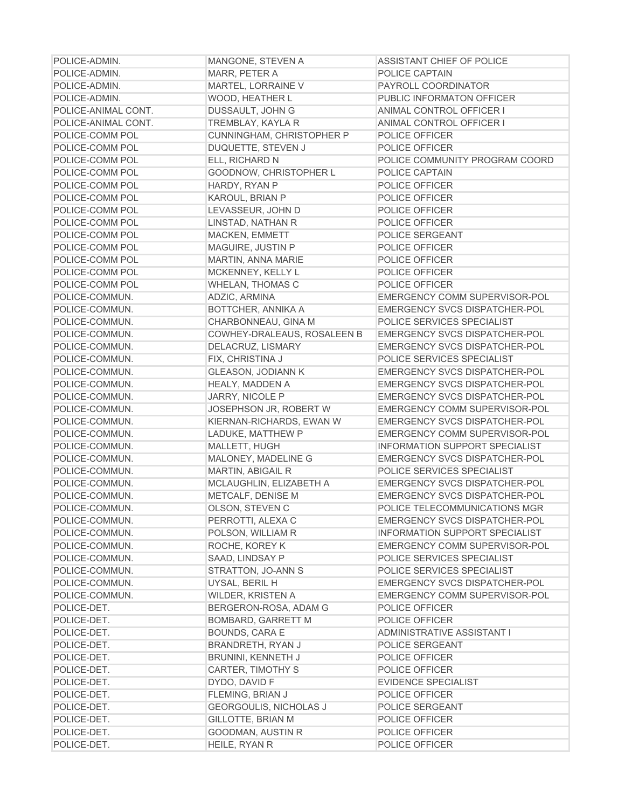| POLICE-ADMIN.       | MANGONE, STEVEN A             | ASSISTANT CHIEF OF POLICE             |
|---------------------|-------------------------------|---------------------------------------|
| POLICE-ADMIN.       | MARR, PETER A                 | POLICE CAPTAIN                        |
| POLICE-ADMIN.       | MARTEL, LORRAINE V            | PAYROLL COORDINATOR                   |
| POLICE-ADMIN.       | WOOD, HEATHER L               | PUBLIC INFORMATON OFFICER             |
| POLICE-ANIMAL CONT. | DUSSAULT, JOHN G              | ANIMAL CONTROL OFFICER I              |
| POLICE-ANIMAL CONT. | <b>TREMBLAY, KAYLA R</b>      | ANIMAL CONTROL OFFICER I              |
| POLICE-COMM POL     | CUNNINGHAM, CHRISTOPHER P     | POLICE OFFICER                        |
| POLICE-COMM POL     | DUQUETTE, STEVEN J            | POLICE OFFICER                        |
| POLICE-COMM POL     | ELL, RICHARD N                | POLICE COMMUNITY PROGRAM COORD        |
| POLICE-COMM POL     | GOODNOW, CHRISTOPHER L        | POLICE CAPTAIN                        |
| POLICE-COMM POL     | HARDY, RYAN P                 | POLICE OFFICER                        |
| POLICE-COMM POL     | KAROUL, BRIAN P               | POLICE OFFICER                        |
| POLICE-COMM POL     | LEVASSEUR, JOHN D             | POLICE OFFICER                        |
| POLICE-COMM POL     | LINSTAD, NATHAN R             | POLICE OFFICER                        |
| POLICE-COMM POL     | MACKEN, EMMETT                | POLICE SERGEANT                       |
| POLICE-COMM POL     | MAGUIRE, JUSTIN P             | POLICE OFFICER                        |
| POLICE-COMM POL     | MARTIN, ANNA MARIE            | POLICE OFFICER                        |
| POLICE-COMM POL     | MCKENNEY, KELLY L             | POLICE OFFICER                        |
| POLICE-COMM POL     | <b>WHELAN, THOMAS C</b>       | POLICE OFFICER                        |
| POLICE-COMMUN.      | ADZIC, ARMINA                 | EMERGENCY COMM SUPERVISOR-POL         |
| POLICE-COMMUN.      | BOTTCHER, ANNIKA A            | EMERGENCY SVCS DISPATCHER-POL         |
| POLICE-COMMUN.      | CHARBONNEAU, GINA M           | POLICE SERVICES SPECIALIST            |
| POLICE-COMMUN.      | COWHEY-DRALEAUS, ROSALEEN B   | <b>EMERGENCY SVCS DISPATCHER-POL</b>  |
| POLICE-COMMUN.      | DELACRUZ, LISMARY             | <b>EMERGENCY SVCS DISPATCHER-POL</b>  |
| POLICE-COMMUN.      | FIX, CHRISTINA J              | POLICE SERVICES SPECIALIST            |
| POLICE-COMMUN.      | <b>GLEASON, JODIANN K</b>     | EMERGENCY SVCS DISPATCHER-POL         |
| POLICE-COMMUN.      | HEALY, MADDEN A               | EMERGENCY SVCS DISPATCHER-POL         |
| POLICE-COMMUN.      | JARRY, NICOLE P               | EMERGENCY SVCS DISPATCHER-POL         |
| POLICE-COMMUN.      | JOSEPHSON JR, ROBERT W        | EMERGENCY COMM SUPERVISOR-POL         |
| POLICE-COMMUN.      | KIERNAN-RICHARDS, EWAN W      | EMERGENCY SVCS DISPATCHER-POL         |
| POLICE-COMMUN.      | LADUKE, MATTHEW P             | EMERGENCY COMM SUPERVISOR-POL         |
| POLICE-COMMUN.      | MALLETT, HUGH                 | <b>INFORMATION SUPPORT SPECIALIST</b> |
| POLICE-COMMUN.      | MALONEY, MADELINE G           | EMERGENCY SVCS DISPATCHER-POL         |
| POLICE-COMMUN.      | MARTIN, ABIGAIL R             | POLICE SERVICES SPECIALIST            |
| POLICE-COMMUN.      | MCLAUGHLIN, ELIZABETH A       | EMERGENCY SVCS DISPATCHER-POL         |
| POLICE-COMMUN.      | METCALF, DENISE M             | EMERGENCY SVCS DISPATCHER-POL         |
| POLICE-COMMUN.      | OLSON, STEVEN C               | POLICE TELECOMMUNICATIONS MGR         |
| POLICE-COMMUN.      | PERROTTI, ALEXA C             | <b>EMERGENCY SVCS DISPATCHER-POL</b>  |
| POLICE-COMMUN.      | POLSON, WILLIAM R             | <b>INFORMATION SUPPORT SPECIALIST</b> |
| POLICE-COMMUN.      | ROCHE, KOREY K                | EMERGENCY COMM SUPERVISOR-POL         |
| POLICE-COMMUN.      | SAAD, LINDSAY P               | POLICE SERVICES SPECIALIST            |
| POLICE-COMMUN.      | STRATTON, JO-ANN S            | POLICE SERVICES SPECIALIST            |
| POLICE-COMMUN.      | UYSAL, BERIL H                | <b>EMERGENCY SVCS DISPATCHER-POL</b>  |
| POLICE-COMMUN.      | WILDER, KRISTEN A             | EMERGENCY COMM SUPERVISOR-POL         |
| POLICE-DET.         | BERGERON-ROSA, ADAM G         | POLICE OFFICER                        |
| POLICE-DET.         | <b>BOMBARD, GARRETT M</b>     | POLICE OFFICER                        |
| POLICE-DET.         | <b>BOUNDS, CARA E</b>         | ADMINISTRATIVE ASSISTANT I            |
| POLICE-DET.         | <b>BRANDRETH, RYAN J</b>      | POLICE SERGEANT                       |
| POLICE-DET.         |                               | POLICE OFFICER                        |
|                     | <b>BRUNINI, KENNETH J</b>     |                                       |
| POLICE-DET.         | CARTER, TIMOTHY S             | POLICE OFFICER                        |
| POLICE-DET.         | DYDO, DAVID F                 | <b>EVIDENCE SPECIALIST</b>            |
| POLICE-DET.         | FLEMING, BRIAN J              | POLICE OFFICER                        |
| POLICE-DET.         | <b>GEORGOULIS, NICHOLAS J</b> | POLICE SERGEANT                       |
| POLICE-DET.         | <b>GILLOTTE, BRIAN M</b>      | POLICE OFFICER                        |
| POLICE-DET.         | GOODMAN, AUSTIN R             | POLICE OFFICER                        |
| POLICE-DET.         | HEILE, RYAN R                 | POLICE OFFICER                        |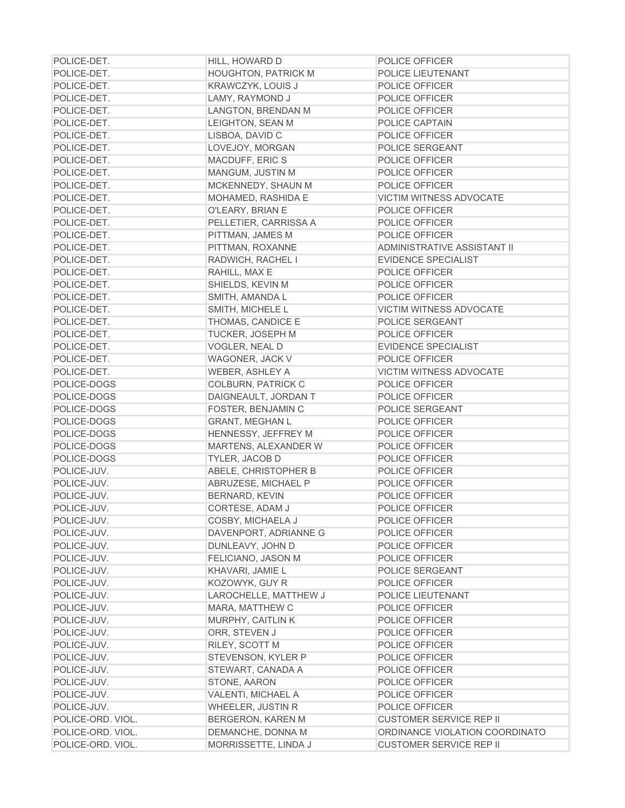| POLICE-DET.       | HILL, HOWARD D             | <b>POLICE OFFICER</b>          |
|-------------------|----------------------------|--------------------------------|
| POLICE-DET.       | <b>HOUGHTON, PATRICK M</b> | POLICE LIEUTENANT              |
| POLICE-DET.       | <b>KRAWCZYK, LOUIS J</b>   | POLICE OFFICER                 |
| POLICE-DET.       | LAMY, RAYMOND J            | POLICE OFFICER                 |
| POLICE-DET.       | LANGTON, BRENDAN M         | POLICE OFFICER                 |
| POLICE-DET.       | LEIGHTON, SEAN M           | POLICE CAPTAIN                 |
| POLICE-DET.       | LISBOA, DAVID C            | POLICE OFFICER                 |
| POLICE-DET.       | LOVEJOY, MORGAN            | POLICE SERGEANT                |
| POLICE-DET.       | MACDUFF, ERIC S            | POLICE OFFICER                 |
| POLICE-DET.       | MANGUM, JUSTIN M           | POLICE OFFICER                 |
| POLICE-DET.       | MCKENNEDY, SHAUN M         | POLICE OFFICER                 |
| POLICE-DET.       | MOHAMED, RASHIDA E         | VICTIM WITNESS ADVOCATE        |
| POLICE-DET.       | O'LEARY, BRIAN E           | POLICE OFFICER                 |
| POLICE-DET.       | PELLETIER, CARRISSA A      | POLICE OFFICER                 |
| POLICE-DET.       | PITTMAN, JAMES M           | POLICE OFFICER                 |
| POLICE-DET.       | PITTMAN, ROXANNE           | ADMINISTRATIVE ASSISTANT II    |
| POLICE-DET.       | RADWICH, RACHEL I          | <b>EVIDENCE SPECIALIST</b>     |
| POLICE-DET.       | RAHILL, MAX E              | POLICE OFFICER                 |
| POLICE-DET.       | SHIELDS, KEVIN M           | POLICE OFFICER                 |
| POLICE-DET.       | SMITH, AMANDA L            | POLICE OFFICER                 |
| POLICE-DET.       | SMITH, MICHELE L           | <b>VICTIM WITNESS ADVOCATE</b> |
| POLICE-DET.       | THOMAS, CANDICE E          | POLICE SERGEANT                |
| POLICE-DET.       | <b>TUCKER, JOSEPH M</b>    | POLICE OFFICER                 |
| POLICE-DET.       | VOGLER, NEAL D             | <b>EVIDENCE SPECIALIST</b>     |
| POLICE-DET.       | WAGONER, JACK V            | POLICE OFFICER                 |
| POLICE-DET.       | WEBER, ASHLEY A            | VICTIM WITNESS ADVOCATE        |
| POLICE-DOGS       | <b>COLBURN, PATRICK C</b>  | POLICE OFFICER                 |
| POLICE-DOGS       | DAIGNEAULT, JORDAN T       | POLICE OFFICER                 |
| POLICE-DOGS       | FOSTER, BENJAMIN C         | POLICE SERGEANT                |
| POLICE-DOGS       | <b>GRANT, MEGHAN L</b>     | POLICE OFFICER                 |
| POLICE-DOGS       | HENNESSY, JEFFREY M        | POLICE OFFICER                 |
| POLICE-DOGS       | MARTENS, ALEXANDER W       | POLICE OFFICER                 |
| POLICE-DOGS       | TYLER, JACOB D             | POLICE OFFICER                 |
| POLICE-JUV.       | ABELE, CHRISTOPHER B       | POLICE OFFICER                 |
| POLICE-JUV.       | ABRUZESE, MICHAEL P        | POLICE OFFICER                 |
| POLICE-JUV.       | BERNARD, KEVIN             | POLICE OFFICER                 |
| POLICE-JUV.       | CORTESE, ADAM J            | POLICE OFFICER                 |
| POLICE-JUV.       | COSBY, MICHAELA J          | POLICE OFFICER                 |
| POLICE-JUV.       | DAVENPORT, ADRIANNE G      | POLICE OFFICER                 |
| POLICE-JUV.       | DUNLEAVY, JOHN D           | POLICE OFFICER                 |
| POLICE-JUV.       | FELICIANO, JASON M         | POLICE OFFICER                 |
| POLICE-JUV.       | KHAVARI, JAMIE L           | POLICE SERGEANT                |
| POLICE-JUV.       | KOZOWYK, GUY R             | POLICE OFFICER                 |
| POLICE-JUV.       | LAROCHELLE, MATTHEW J      | POLICE LIEUTENANT              |
| POLICE-JUV.       | MARA, MATTHEW C            | POLICE OFFICER                 |
| POLICE-JUV.       | MURPHY, CAITLIN K          | POLICE OFFICER                 |
| POLICE-JUV.       | ORR, STEVEN J              | POLICE OFFICER                 |
| POLICE-JUV.       | RILEY, SCOTT M             | POLICE OFFICER                 |
| POLICE-JUV.       | STEVENSON, KYLER P         | POLICE OFFICER                 |
| POLICE-JUV.       | STEWART, CANADA A          | POLICE OFFICER                 |
| POLICE-JUV.       | STONE, AARON               | POLICE OFFICER                 |
| POLICE-JUV.       | VALENTI, MICHAEL A         | POLICE OFFICER                 |
| POLICE-JUV.       | <b>WHEELER, JUSTIN R</b>   | POLICE OFFICER                 |
| POLICE-ORD. VIOL. | <b>BERGERON, KAREN M</b>   | <b>CUSTOMER SERVICE REP II</b> |
| POLICE-ORD. VIOL. | DEMANCHE, DONNA M          | ORDINANCE VIOLATION COORDINATO |
| POLICE-ORD. VIOL. | MORRISSETTE, LINDA J       | <b>CUSTOMER SERVICE REP II</b> |
|                   |                            |                                |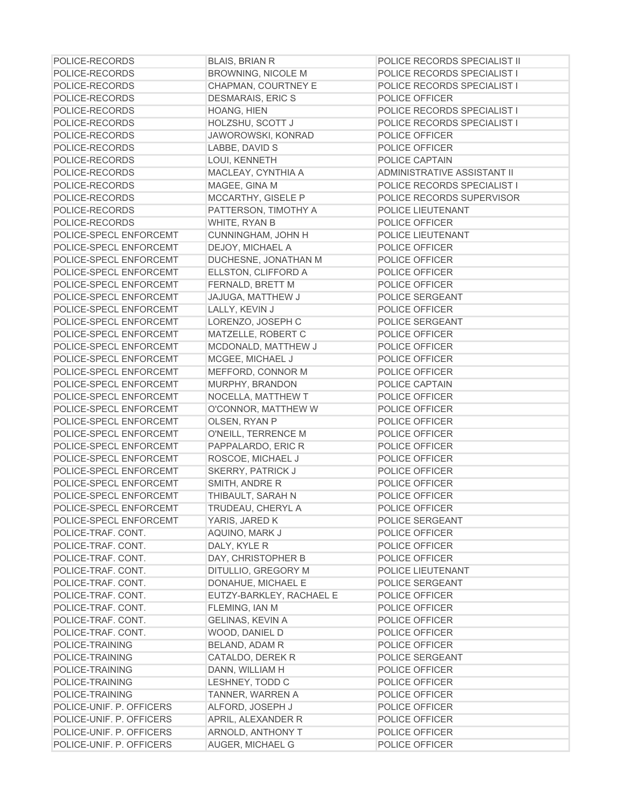| POLICE-RECORDS           | <b>BLAIS, BRIAN R</b>     | POLICE RECORDS SPECIALIST II |
|--------------------------|---------------------------|------------------------------|
| POLICE-RECORDS           | <b>BROWNING, NICOLE M</b> | POLICE RECORDS SPECIALIST I  |
| POLICE-RECORDS           | CHAPMAN, COURTNEY E       | POLICE RECORDS SPECIALIST I  |
| POLICE-RECORDS           | <b>DESMARAIS, ERIC S</b>  | POLICE OFFICER               |
| POLICE-RECORDS           | HOANG, HIEN               | POLICE RECORDS SPECIALIST I  |
| POLICE-RECORDS           | HOLZSHU, SCOTT J          | POLICE RECORDS SPECIALIST I  |
| POLICE-RECORDS           | JAWOROWSKI, KONRAD        | POLICE OFFICER               |
| POLICE-RECORDS           | LABBE, DAVID S            | POLICE OFFICER               |
| POLICE-RECORDS           | LOUI, KENNETH             | POLICE CAPTAIN               |
| POLICE-RECORDS           | MACLEAY, CYNTHIA A        | ADMINISTRATIVE ASSISTANT II  |
| POLICE-RECORDS           | MAGEE, GINA M             | POLICE RECORDS SPECIALIST I  |
| POLICE-RECORDS           | MCCARTHY, GISELE P        | POLICE RECORDS SUPERVISOR    |
| POLICE-RECORDS           | PATTERSON, TIMOTHY A      | POLICE LIEUTENANT            |
| POLICE-RECORDS           | WHITE, RYAN B             | POLICE OFFICER               |
| POLICE-SPECL ENFORCEMT   | CUNNINGHAM, JOHN H        | POLICE LIEUTENANT            |
| POLICE-SPECL ENFORCEMT   | DEJOY, MICHAEL A          | POLICE OFFICER               |
| POLICE-SPECL ENFORCEMT   | DUCHESNE, JONATHAN M      | POLICE OFFICER               |
| POLICE-SPECL ENFORCEMT   | ELLSTON, CLIFFORD A       | POLICE OFFICER               |
| POLICE-SPECL ENFORCEMT   | FERNALD, BRETT M          | POLICE OFFICER               |
| POLICE-SPECL ENFORCEMT   | JAJUGA, MATTHEW J         | POLICE SERGEANT              |
| POLICE-SPECL ENFORCEMT   | LALLY, KEVIN J            | POLICE OFFICER               |
| POLICE-SPECL ENFORCEMT   | LORENZO, JOSEPH C         | POLICE SERGEANT              |
| POLICE-SPECL ENFORCEMT   | MATZELLE, ROBERT C        | POLICE OFFICER               |
| POLICE-SPECL ENFORCEMT   | MCDONALD, MATTHEW J       | POLICE OFFICER               |
| POLICE-SPECL ENFORCEMT   | MCGEE, MICHAEL J          | POLICE OFFICER               |
| POLICE-SPECL ENFORCEMT   | MEFFORD, CONNOR M         | POLICE OFFICER               |
| POLICE-SPECL ENFORCEMT   | MURPHY, BRANDON           | POLICE CAPTAIN               |
| POLICE-SPECL ENFORCEMT   | NOCELLA, MATTHEW T        | POLICE OFFICER               |
| POLICE-SPECL ENFORCEMT   | O'CONNOR, MATTHEW W       | POLICE OFFICER               |
| POLICE-SPECL ENFORCEMT   | OLSEN, RYAN P             | POLICE OFFICER               |
| POLICE-SPECL ENFORCEMT   | O'NEILL, TERRENCE M       | POLICE OFFICER               |
| POLICE-SPECL ENFORCEMT   | PAPPALARDO, ERIC R        | POLICE OFFICER               |
| POLICE-SPECL ENFORCEMT   | ROSCOE, MICHAEL J         | POLICE OFFICER               |
| POLICE-SPECL ENFORCEMT   | <b>SKERRY, PATRICK J</b>  | POLICE OFFICER               |
| POLICE-SPECL ENFORCEMT   | SMITH, ANDRE R            | POLICE OFFICER               |
| POLICE-SPECL ENFORCEMT   | THIBAULT, SARAH N         | POLICE OFFICER               |
| POLICE-SPECL ENFORCEMT   | TRUDEAU, CHERYL A         | POLICE OFFICER               |
| POLICE-SPECL ENFORCEMT   | YARIS, JARED K            | POLICE SERGEANT              |
| POLICE-TRAF. CONT.       | AQUINO, MARK J            | POLICE OFFICER               |
| POLICE-TRAF. CONT.       | DALY, KYLE R              | POLICE OFFICER               |
| POLICE-TRAF. CONT.       | DAY, CHRISTOPHER B        | POLICE OFFICER               |
| POLICE-TRAF. CONT.       | DITULLIO, GREGORY M       | POLICE LIEUTENANT            |
| POLICE-TRAF. CONT.       | DONAHUE, MICHAEL E        | POLICE SERGEANT              |
| POLICE-TRAF. CONT.       | EUTZY-BARKLEY, RACHAEL E  | POLICE OFFICER               |
| POLICE-TRAF. CONT.       | FLEMING, IAN M            | POLICE OFFICER               |
| POLICE-TRAF. CONT.       | <b>GELINAS, KEVIN A</b>   | POLICE OFFICER               |
| POLICE-TRAF. CONT.       | WOOD, DANIEL D            | POLICE OFFICER               |
| POLICE-TRAINING          | <b>BELAND, ADAM R</b>     | POLICE OFFICER               |
| POLICE-TRAINING          | CATALDO, DEREK R          | POLICE SERGEANT              |
| POLICE-TRAINING          | DANN, WILLIAM H           | POLICE OFFICER               |
| POLICE-TRAINING          | LESHNEY, TODD C           | POLICE OFFICER               |
| POLICE-TRAINING          | TANNER, WARREN A          | POLICE OFFICER               |
| POLICE-UNIF. P. OFFICERS | ALFORD, JOSEPH J          | POLICE OFFICER               |
| POLICE-UNIF. P. OFFICERS | APRIL, ALEXANDER R        | POLICE OFFICER               |
| POLICE-UNIF. P. OFFICERS | ARNOLD, ANTHONY T         | POLICE OFFICER               |
| POLICE-UNIF. P. OFFICERS | <b>AUGER, MICHAEL G</b>   | POLICE OFFICER               |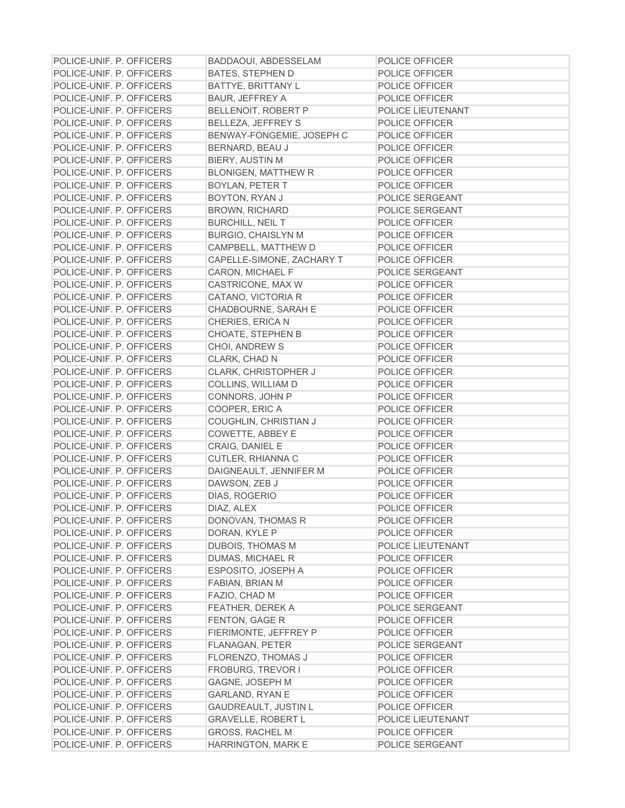| POLICE-UNIF. P. OFFICERS | <b>BADDAOUI, ABDESSELAM</b> | POLICE OFFICER    |
|--------------------------|-----------------------------|-------------------|
| POLICE-UNIF. P. OFFICERS | <b>BATES, STEPHEN D</b>     | POLICE OFFICER    |
| POLICE-UNIF. P. OFFICERS | <b>BATTYE, BRITTANY L</b>   | POLICE OFFICER    |
| POLICE-UNIF. P. OFFICERS | <b>BAUR, JEFFREY A</b>      | POLICE OFFICER    |
| POLICE-UNIF. P. OFFICERS | BELLENOIT, ROBERT P         | POLICE LIEUTENANT |
| POLICE-UNIF. P. OFFICERS | BELLEZA, JEFFREY S          | POLICE OFFICER    |
| POLICE-UNIF. P. OFFICERS | BENWAY-FONGEMIE, JOSEPH C   | POLICE OFFICER    |
| POLICE-UNIF. P. OFFICERS | BERNARD, BEAU J             | POLICE OFFICER    |
| POLICE-UNIF. P. OFFICERS | BIERY, AUSTIN M             | POLICE OFFICER    |
| POLICE-UNIF. P. OFFICERS | <b>BLONIGEN, MATTHEW R</b>  | POLICE OFFICER    |
| POLICE-UNIF. P. OFFICERS | <b>BOYLAN, PETER T</b>      | POLICE OFFICER    |
| POLICE-UNIF. P. OFFICERS | BOYTON, RYAN J              | POLICE SERGEANT   |
| POLICE-UNIF. P. OFFICERS | <b>BROWN, RICHARD</b>       | POLICE SERGEANT   |
| POLICE-UNIF. P. OFFICERS | <b>BURCHILL, NEIL T</b>     | POLICE OFFICER    |
| POLICE-UNIF. P. OFFICERS | <b>BURGIO, CHAISLYN M</b>   | POLICE OFFICER    |
| POLICE-UNIF. P. OFFICERS | CAMPBELL, MATTHEW D         | POLICE OFFICER    |
| POLICE-UNIF. P. OFFICERS | CAPELLE-SIMONE, ZACHARY T   | POLICE OFFICER    |
| POLICE-UNIF. P. OFFICERS | CARON, MICHAEL F            | POLICE SERGEANT   |
| POLICE-UNIF. P. OFFICERS | CASTRICONE, MAX W           | POLICE OFFICER    |
| POLICE-UNIF. P. OFFICERS | CATANO, VICTORIA R          | POLICE OFFICER    |
| POLICE-UNIF. P. OFFICERS | CHADBOURNE, SARAH E         | POLICE OFFICER    |
| POLICE-UNIF. P. OFFICERS | CHERIES, ERICA N            | POLICE OFFICER    |
| POLICE-UNIF. P. OFFICERS | <b>CHOATE, STEPHEN B</b>    | POLICE OFFICER    |
| POLICE-UNIF. P. OFFICERS | CHOI, ANDREW S              | POLICE OFFICER    |
| POLICE-UNIF. P. OFFICERS | CLARK, CHAD N               | POLICE OFFICER    |
| POLICE-UNIF. P. OFFICERS | CLARK, CHRISTOPHER J        | POLICE OFFICER    |
| POLICE-UNIF. P. OFFICERS | COLLINS, WILLIAM D          | POLICE OFFICER    |
| POLICE-UNIF. P. OFFICERS | CONNORS, JOHN P             | POLICE OFFICER    |
| POLICE-UNIF. P. OFFICERS | COOPER, ERIC A              | POLICE OFFICER    |
| POLICE-UNIF. P. OFFICERS | COUGHLIN, CHRISTIAN J       | POLICE OFFICER    |
| POLICE-UNIF. P. OFFICERS | COWETTE, ABBEY E            | POLICE OFFICER    |
| POLICE-UNIF. P. OFFICERS | CRAIG, DANIEL E             | POLICE OFFICER    |
| POLICE-UNIF. P. OFFICERS | CUTLER, RHIANNA C           | POLICE OFFICER    |
| POLICE-UNIF. P. OFFICERS | DAIGNEAULT, JENNIFER M      | POLICE OFFICER    |
| POLICE-UNIF. P. OFFICERS | DAWSON, ZEB J               | POLICE OFFICER    |
| POLICE-UNIF. P. OFFICERS | DIAS, ROGERIO               | POLICE OFFICER    |
| POLICE-UNIF. P. OFFICERS | DIAZ, ALEX                  | POLICE OFFICER    |
| POLICE-UNIF. P. OFFICERS | DONOVAN, THOMAS R           | POLICE OFFICER    |
| POLICE-UNIF. P. OFFICERS | DORAN, KYLE P               | POLICE OFFICER    |
| POLICE-UNIF. P. OFFICERS | DUBOIS, THOMAS M            | POLICE LIEUTENANT |
| POLICE-UNIF. P. OFFICERS | DUMAS, MICHAEL R            | POLICE OFFICER    |
| POLICE-UNIF. P. OFFICERS | ESPOSITO, JOSEPH A          | POLICE OFFICER    |
| POLICE-UNIF. P. OFFICERS | <b>FABIAN, BRIAN M</b>      | POLICE OFFICER    |
| POLICE-UNIF. P. OFFICERS | FAZIO, CHAD M               | POLICE OFFICER    |
| POLICE-UNIF. P. OFFICERS | <b>FEATHER, DEREK A</b>     | POLICE SERGEANT   |
| POLICE-UNIF. P. OFFICERS | <b>FENTON, GAGE R</b>       | POLICE OFFICER    |
| POLICE-UNIF. P. OFFICERS | FIERIMONTE, JEFFREY P       | POLICE OFFICER    |
| POLICE-UNIF. P. OFFICERS | <b>FLANAGAN, PETER</b>      | POLICE SERGEANT   |
| POLICE-UNIF. P. OFFICERS | FLORENZO, THOMAS J          | POLICE OFFICER    |
| POLICE-UNIF. P. OFFICERS | <b>FROBURG, TREVOR I</b>    | POLICE OFFICER    |
| POLICE-UNIF. P. OFFICERS | GAGNE, JOSEPH M             | POLICE OFFICER    |
| POLICE-UNIF. P. OFFICERS | <b>GARLAND, RYAN E</b>      | POLICE OFFICER    |
| POLICE-UNIF. P. OFFICERS | <b>GAUDREAULT, JUSTIN L</b> | POLICE OFFICER    |
| POLICE-UNIF. P. OFFICERS | <b>GRAVELLE, ROBERT L</b>   | POLICE LIEUTENANT |
| POLICE-UNIF. P. OFFICERS | <b>GROSS, RACHEL M</b>      | POLICE OFFICER    |
| POLICE-UNIF. P. OFFICERS | HARRINGTON, MARK E          | POLICE SERGEANT   |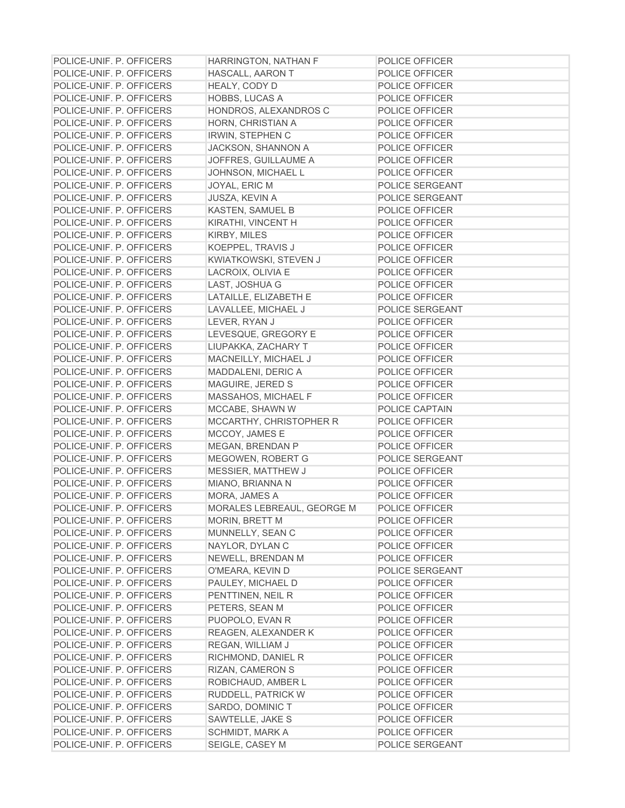| POLICE-UNIF. P. OFFICERS | HARRINGTON, NATHAN F       | POLICE OFFICER  |
|--------------------------|----------------------------|-----------------|
| POLICE-UNIF. P. OFFICERS | HASCALL, AARON T           | POLICE OFFICER  |
| POLICE-UNIF. P. OFFICERS | HEALY, CODY D              | POLICE OFFICER  |
| POLICE-UNIF. P. OFFICERS | HOBBS, LUCAS A             | POLICE OFFICER  |
| POLICE-UNIF. P. OFFICERS | HONDROS, ALEXANDROS C      | POLICE OFFICER  |
| POLICE-UNIF. P. OFFICERS | HORN, CHRISTIAN A          | POLICE OFFICER  |
| POLICE-UNIF. P. OFFICERS | <b>IRWIN, STEPHEN C</b>    | POLICE OFFICER  |
| POLICE-UNIF. P. OFFICERS | JACKSON, SHANNON A         | POLICE OFFICER  |
| POLICE-UNIF. P. OFFICERS | JOFFRES, GUILLAUME A       | POLICE OFFICER  |
| POLICE-UNIF. P. OFFICERS | JOHNSON, MICHAEL L         | POLICE OFFICER  |
| POLICE-UNIF. P. OFFICERS | JOYAL, ERIC M              | POLICE SERGEANT |
| POLICE-UNIF. P. OFFICERS | JUSZA, KEVIN A             | POLICE SERGEANT |
| POLICE-UNIF. P. OFFICERS | KASTEN, SAMUEL B           | POLICE OFFICER  |
| POLICE-UNIF. P. OFFICERS | KIRATHI, VINCENT H         | POLICE OFFICER  |
| POLICE-UNIF. P. OFFICERS | KIRBY, MILES               | POLICE OFFICER  |
| POLICE-UNIF. P. OFFICERS | KOEPPEL, TRAVIS J          | POLICE OFFICER  |
| POLICE-UNIF. P. OFFICERS | KWIATKOWSKI, STEVEN J      | POLICE OFFICER  |
| POLICE-UNIF. P. OFFICERS | LACROIX, OLIVIA E          | POLICE OFFICER  |
| POLICE-UNIF. P. OFFICERS | LAST, JOSHUA G             | POLICE OFFICER  |
| POLICE-UNIF. P. OFFICERS | LATAILLE, ELIZABETH E      | POLICE OFFICER  |
| POLICE-UNIF. P. OFFICERS | LAVALLEE, MICHAEL J        | POLICE SERGEANT |
| POLICE-UNIF. P. OFFICERS | LEVER, RYAN J              | POLICE OFFICER  |
| POLICE-UNIF. P. OFFICERS | LEVESQUE, GREGORY E        | POLICE OFFICER  |
| POLICE-UNIF. P. OFFICERS | LIUPAKKA, ZACHARY T        | POLICE OFFICER  |
| POLICE-UNIF. P. OFFICERS | MACNEILLY, MICHAEL J       | POLICE OFFICER  |
| POLICE-UNIF. P. OFFICERS | MADDALENI, DERIC A         | POLICE OFFICER  |
| POLICE-UNIF. P. OFFICERS | MAGUIRE, JERED S           | POLICE OFFICER  |
| POLICE-UNIF. P. OFFICERS | MASSAHOS, MICHAEL F        | POLICE OFFICER  |
| POLICE-UNIF. P. OFFICERS | MCCABE, SHAWN W            | POLICE CAPTAIN  |
| POLICE-UNIF. P. OFFICERS | MCCARTHY, CHRISTOPHER R    | POLICE OFFICER  |
| POLICE-UNIF. P. OFFICERS | MCCOY, JAMES E             | POLICE OFFICER  |
| POLICE-UNIF. P. OFFICERS | MEGAN, BRENDAN P           | POLICE OFFICER  |
| POLICE-UNIF. P. OFFICERS | MEGOWEN, ROBERT G          | POLICE SERGEANT |
| POLICE-UNIF. P. OFFICERS | MESSIER, MATTHEW J         | POLICE OFFICER  |
| POLICE-UNIF. P. OFFICERS | MIANO, BRIANNA N           | POLICE OFFICER  |
| POLICE-UNIF. P. OFFICERS | MORA, JAMES A              | POLICE OFFICER  |
| POLICE-UNIF. P. OFFICERS | MORALES LEBREAUL, GEORGE M | POLICE OFFICER  |
| POLICE-UNIF. P. OFFICERS | <b>MORIN, BRETT M</b>      | POLICE OFFICER  |
| POLICE-UNIF. P. OFFICERS | MUNNELLY, SEAN C           | POLICE OFFICER  |
| POLICE-UNIF. P. OFFICERS | NAYLOR, DYLAN C            | POLICE OFFICER  |
| POLICE-UNIF. P. OFFICERS | NEWELL, BRENDAN M          | POLICE OFFICER  |
| POLICE-UNIF. P. OFFICERS | O'MEARA, KEVIN D           | POLICE SERGEANT |
| POLICE-UNIF. P. OFFICERS | PAULEY, MICHAEL D          | POLICE OFFICER  |
| POLICE-UNIF. P. OFFICERS |                            |                 |
|                          | PENTTINEN, NEIL R          | POLICE OFFICER  |
| POLICE-UNIF. P. OFFICERS | PETERS, SEAN M             | POLICE OFFICER  |
| POLICE-UNIF. P. OFFICERS | PUOPOLO, EVAN R            | POLICE OFFICER  |
| POLICE-UNIF. P. OFFICERS | REAGEN, ALEXANDER K        | POLICE OFFICER  |
| POLICE-UNIF. P. OFFICERS | REGAN, WILLIAM J           | POLICE OFFICER  |
| POLICE-UNIF. P. OFFICERS | RICHMOND, DANIEL R         | POLICE OFFICER  |
| POLICE-UNIF. P. OFFICERS | RIZAN, CAMERON S           | POLICE OFFICER  |
| POLICE-UNIF. P. OFFICERS | ROBICHAUD, AMBER L         | POLICE OFFICER  |
| POLICE-UNIF. P. OFFICERS | RUDDELL, PATRICK W         | POLICE OFFICER  |
| POLICE-UNIF. P. OFFICERS | SARDO, DOMINIC T           | POLICE OFFICER  |
| POLICE-UNIF. P. OFFICERS | SAWTELLE, JAKE S           | POLICE OFFICER  |
| POLICE-UNIF. P. OFFICERS | SCHMIDT, MARK A            | POLICE OFFICER  |
| POLICE-UNIF. P. OFFICERS | SEIGLE, CASEY M            | POLICE SERGEANT |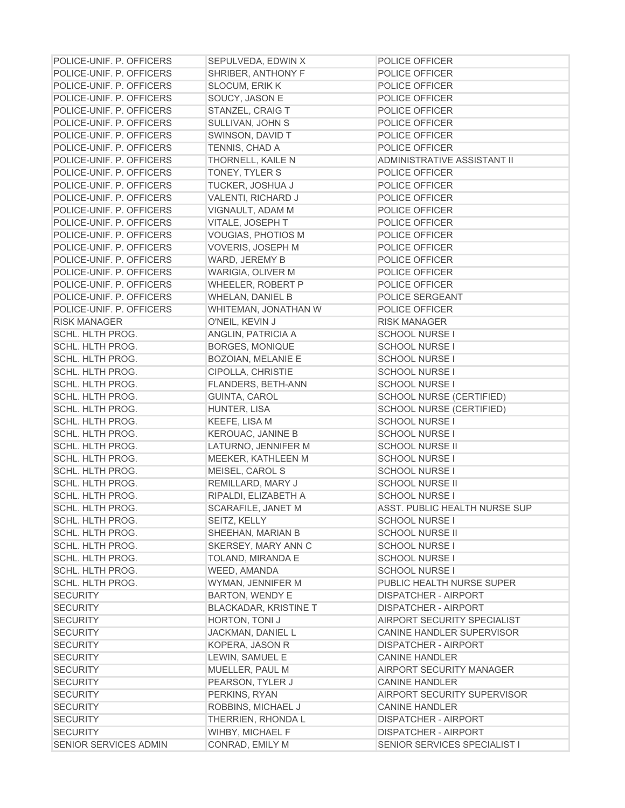| POLICE-UNIF. P. OFFICERS           | SEPULVEDA, EDWIN X                                     | <b>POLICE OFFICER</b>              |
|------------------------------------|--------------------------------------------------------|------------------------------------|
| POLICE-UNIF. P. OFFICERS           | SHRIBER, ANTHONY F                                     | <b>POLICE OFFICER</b>              |
| POLICE-UNIF. P. OFFICERS           | <b>SLOCUM, ERIK K</b>                                  | POLICE OFFICER                     |
| POLICE-UNIF. P. OFFICERS           | SOUCY, JASON E                                         | POLICE OFFICER                     |
| POLICE-UNIF. P. OFFICERS           | STANZEL, CRAIG T                                       | POLICE OFFICER                     |
| POLICE-UNIF. P. OFFICERS           | SULLIVAN, JOHN S                                       | POLICE OFFICER                     |
| POLICE-UNIF. P. OFFICERS           | SWINSON, DAVID T                                       | POLICE OFFICER                     |
| POLICE-UNIF. P. OFFICERS           | TENNIS, CHAD A                                         | POLICE OFFICER                     |
| POLICE-UNIF. P. OFFICERS           | THORNELL, KAILE N                                      | ADMINISTRATIVE ASSISTANT II        |
| POLICE-UNIF. P. OFFICERS           | TONEY, TYLER S                                         | POLICE OFFICER                     |
| POLICE-UNIF. P. OFFICERS           | <b>TUCKER, JOSHUA J</b>                                | POLICE OFFICER                     |
| POLICE-UNIF. P. OFFICERS           | VALENTI, RICHARD J                                     | POLICE OFFICER                     |
| POLICE-UNIF. P. OFFICERS           | VIGNAULT, ADAM M                                       | POLICE OFFICER                     |
| POLICE-UNIF. P. OFFICERS           | VITALE, JOSEPH T                                       | POLICE OFFICER                     |
| POLICE-UNIF. P. OFFICERS           | VOUGIAS, PHOTIOS M                                     | POLICE OFFICER                     |
| POLICE-UNIF. P. OFFICERS           | VOVERIS, JOSEPH M                                      | POLICE OFFICER                     |
| POLICE-UNIF, P. OFFICERS           | WARD, JEREMY B                                         | POLICE OFFICER                     |
| POLICE-UNIF. P. OFFICERS           | WARIGIA, OLIVER M                                      | POLICE OFFICER                     |
| POLICE-UNIF. P. OFFICERS           | WHEELER, ROBERT P                                      | POLICE OFFICER                     |
| POLICE-UNIF. P. OFFICERS           | <b>WHELAN, DANIEL B</b>                                | POLICE SERGEANT                    |
| POLICE-UNIF. P. OFFICERS           | WHITEMAN, JONATHAN W                                   | POLICE OFFICER                     |
| <b>RISK MANAGER</b>                | O'NEIL, KEVIN J                                        | <b>RISK MANAGER</b>                |
| SCHL. HLTH PROG.                   | ANGLIN, PATRICIA A                                     | <b>SCHOOL NURSE I</b>              |
| SCHL. HLTH PROG.                   | BORGES, MONIQUE                                        | <b>SCHOOL NURSE I</b>              |
| SCHL. HLTH PROG.                   | <b>BOZOIAN, MELANIE E</b>                              | <b>SCHOOL NURSE I</b>              |
| SCHL. HLTH PROG.                   | CIPOLLA, CHRISTIE                                      | <b>SCHOOL NURSE I</b>              |
| SCHL. HLTH PROG.                   | <b>FLANDERS, BETH-ANN</b>                              | <b>SCHOOL NURSE I</b>              |
| SCHL. HLTH PROG.                   | GUINTA, CAROL                                          | SCHOOL NURSE (CERTIFIED)           |
| SCHL. HLTH PROG.                   | HUNTER, LISA                                           | <b>SCHOOL NURSE (CERTIFIED)</b>    |
| SCHL. HLTH PROG.                   | KEEFE, LISA M                                          | <b>SCHOOL NURSE I</b>              |
| SCHL. HLTH PROG.                   | <b>KEROUAC, JANINE B</b>                               | <b>SCHOOL NURSE I</b>              |
| SCHL. HLTH PROG.                   | LATURNO, JENNIFER M                                    | <b>SCHOOL NURSE II</b>             |
| SCHL. HLTH PROG.                   | MEEKER, KATHLEEN M                                     | <b>SCHOOL NURSE I</b>              |
| <b>SCHL. HLTH PROG.</b>            | MEISEL, CAROL S                                        | <b>SCHOOL NURSE I</b>              |
| <b>SCHL. HLTH PROG.</b>            | REMILLARD, MARY J                                      | <b>SCHOOL NURSE II</b>             |
| SCHL. HLTH PROG.                   | RIPALDI, ELIZABETH A                                   | <b>SCHOOL NURSE I</b>              |
| SCHL. HLTH PROG.                   | SCARAFILE, JANET M                                     | ASST. PUBLIC HEALTH NURSE SUP      |
| SCHL. HLTH PROG.                   | SEITZ, KELLY                                           | <b>SCHOOL NURSE I</b>              |
| SCHL. HLTH PROG.                   | SHEEHAN, MARIAN B                                      | <b>SCHOOL NURSE II</b>             |
| SCHL. HLTH PROG.                   | SKERSEY, MARY ANN C                                    | <b>SCHOOL NURSE I</b>              |
| SCHL. HLTH PROG.                   | TOLAND, MIRANDA E                                      | <b>SCHOOL NURSE I</b>              |
| SCHL. HLTH PROG.                   | WEED, AMANDA                                           | <b>SCHOOL NURSE I</b>              |
| <b>SCHL. HLTH PROG.</b>            | WYMAN, JENNIFER M                                      | PUBLIC HEALTH NURSE SUPER          |
| <b>SECURITY</b>                    |                                                        | <b>DISPATCHER - AIRPORT</b>        |
| <b>SECURITY</b>                    | <b>BARTON, WENDY E</b><br><b>BLACKADAR, KRISTINE T</b> | <b>DISPATCHER - AIRPORT</b>        |
| <b>SECURITY</b>                    | HORTON, TONI J                                         | <b>AIRPORT SECURITY SPECIALIST</b> |
| <b>SECURITY</b>                    | JACKMAN, DANIEL L                                      | CANINE HANDLER SUPERVISOR          |
| <b>SECURITY</b>                    | KOPERA, JASON R                                        | <b>DISPATCHER - AIRPORT</b>        |
| <b>SECURITY</b>                    | LEWIN, SAMUEL E                                        | <b>CANINE HANDLER</b>              |
| <b>SECURITY</b>                    |                                                        | <b>AIRPORT SECURITY MANAGER</b>    |
| <b>SECURITY</b>                    | MUELLER, PAUL M                                        | <b>CANINE HANDLER</b>              |
| <b>SECURITY</b>                    | PEARSON, TYLER J<br>PERKINS, RYAN                      | <b>AIRPORT SECURITY SUPERVISOR</b> |
|                                    |                                                        | <b>CANINE HANDLER</b>              |
| <b>SECURITY</b><br><b>SECURITY</b> | ROBBINS, MICHAEL J<br>THERRIEN, RHONDA L               | <b>DISPATCHER - AIRPORT</b>        |
| <b>SECURITY</b>                    | WIHBY, MICHAEL F                                       | <b>DISPATCHER - AIRPORT</b>        |
|                                    |                                                        |                                    |
| SENIOR SERVICES ADMIN              | CONRAD, EMILY M                                        | SENIOR SERVICES SPECIALIST I       |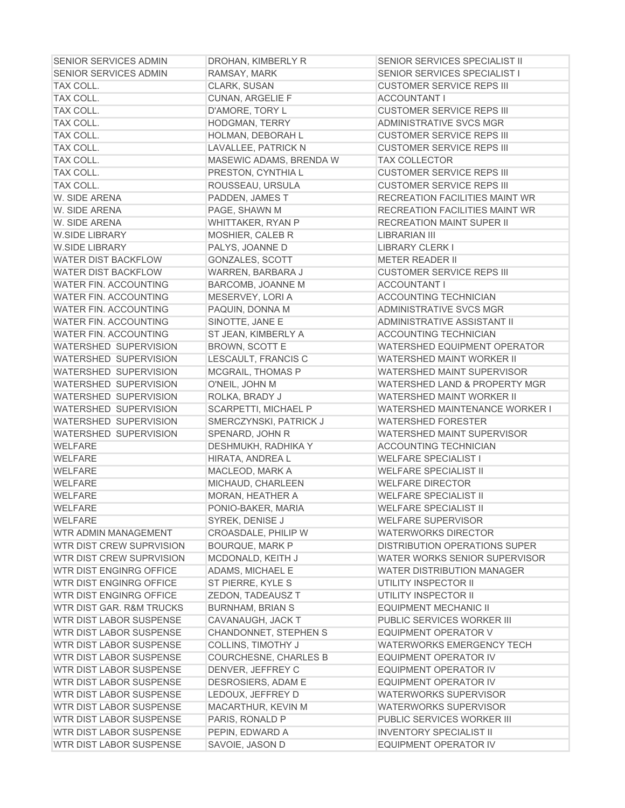| <b>SENIOR SERVICES ADMIN</b>   | DROHAN, KIMBERLY R           | SENIOR SERVICES SPECIALIST II         |
|--------------------------------|------------------------------|---------------------------------------|
| <b>SENIOR SERVICES ADMIN</b>   | RAMSAY, MARK                 | SENIOR SERVICES SPECIALIST I          |
| TAX COLL.                      | CLARK, SUSAN                 | <b>CUSTOMER SERVICE REPS III</b>      |
| TAX COLL.                      | <b>CUNAN, ARGELIE F</b>      | <b>ACCOUNTANT I</b>                   |
| TAX COLL.                      | D'AMORE, TORY L              | <b>CUSTOMER SERVICE REPS III</b>      |
| TAX COLL.                      | HODGMAN, TERRY               | ADMINISTRATIVE SVCS MGR               |
| TAX COLL.                      | HOLMAN, DEBORAH L            | <b>CUSTOMER SERVICE REPS III</b>      |
| TAX COLL.                      | LAVALLEE, PATRICK N          | <b>CUSTOMER SERVICE REPS III</b>      |
| TAX COLL.                      | MASEWIC ADAMS, BRENDA W      | <b>TAX COLLECTOR</b>                  |
| TAX COLL.                      | PRESTON, CYNTHIA L           | <b>CUSTOMER SERVICE REPS III</b>      |
| TAX COLL.                      | ROUSSEAU, URSULA             | <b>CUSTOMER SERVICE REPS III</b>      |
| W. SIDE ARENA                  | PADDEN, JAMES T              | <b>RECREATION FACILITIES MAINT WR</b> |
| W. SIDE ARENA                  | PAGE, SHAWN M                | <b>RECREATION FACILITIES MAINT WR</b> |
| W. SIDE ARENA                  | WHITTAKER, RYAN P            | <b>RECREATION MAINT SUPER II</b>      |
| <b>W.SIDE LIBRARY</b>          | MOSHIER, CALEB R             | <b>LIBRARIAN III</b>                  |
| <b>W.SIDE LIBRARY</b>          | PALYS, JOANNE D              | <b>LIBRARY CLERK I</b>                |
| <b>WATER DIST BACKFLOW</b>     | GONZALES, SCOTT              | <b>METER READER II</b>                |
| <b>WATER DIST BACKFLOW</b>     | WARREN, BARBARA J            | <b>CUSTOMER SERVICE REPS III</b>      |
| <b>WATER FIN. ACCOUNTING</b>   | BARCOMB, JOANNE M            | <b>ACCOUNTANT I</b>                   |
| <b>WATER FIN. ACCOUNTING</b>   | MESERVEY, LORI A             | <b>ACCOUNTING TECHNICIAN</b>          |
| <b>WATER FIN. ACCOUNTING</b>   | PAQUIN, DONNA M              | ADMINISTRATIVE SVCS MGR               |
| <b>WATER FIN. ACCOUNTING</b>   | SINOTTE, JANE E              | ADMINISTRATIVE ASSISTANT II           |
| <b>WATER FIN. ACCOUNTING</b>   | ST JEAN, KIMBERLY A          | <b>ACCOUNTING TECHNICIAN</b>          |
| <b>WATERSHED SUPERVISION</b>   | <b>BROWN, SCOTT E</b>        | WATERSHED EQUIPMENT OPERATOR          |
| <b>WATERSHED SUPERVISION</b>   | LESCAULT, FRANCIS C          | <b>WATERSHED MAINT WORKER II</b>      |
| <b>WATERSHED SUPERVISION</b>   | <b>MCGRAIL, THOMAS P</b>     | WATERSHED MAINT SUPERVISOR            |
| <b>WATERSHED SUPERVISION</b>   | O'NEIL, JOHN M               | WATERSHED LAND & PROPERTY MGR         |
| <b>WATERSHED SUPERVISION</b>   | ROLKA, BRADY J               | WATERSHED MAINT WORKER II             |
| WATERSHED SUPERVISION          | SCARPETTI, MICHAEL P         | WATERSHED MAINTENANCE WORKER I        |
| <b>WATERSHED SUPERVISION</b>   | SMERCZYNSKI, PATRICK J       | <b>WATERSHED FORESTER</b>             |
| <b>WATERSHED SUPERVISION</b>   | SPENARD, JOHN R              | WATERSHED MAINT SUPERVISOR            |
| <b>WELFARE</b>                 | DESHMUKH, RADHIKA Y          | <b>ACCOUNTING TECHNICIAN</b>          |
| <b>WELFARE</b>                 | HIRATA, ANDREA L             | <b>WELFARE SPECIALIST I</b>           |
| <b>WELFARE</b>                 | MACLEOD, MARK A              | <b>WELFARE SPECIALIST II</b>          |
| <b>WELFARE</b>                 | MICHAUD, CHARLEEN            | <b>WELFARE DIRECTOR</b>               |
| <b>WELFARE</b>                 | MORAN, HEATHER A             | <b>WELFARE SPECIALIST II</b>          |
| <b>WELFARE</b>                 | PONIO-BAKER, MARIA           | <b>WELFARE SPECIALIST II</b>          |
| WELFARE                        | SYREK, DENISE J              | WELFARE SUPERVISOR                    |
| WTR ADMIN MANAGEMENT           | CROASDALE, PHILIP W          | <b>WATERWORKS DIRECTOR</b>            |
| WTR DIST CREW SUPRVISION       | <b>BOURQUE, MARK P</b>       | <b>DISTRIBUTION OPERATIONS SUPER</b>  |
| WTR DIST CREW SUPRVISION       | MCDONALD, KEITH J            | WATER WORKS SENIOR SUPERVISOR         |
| WTR DIST ENGINRG OFFICE        | ADAMS, MICHAEL E             | <b>WATER DISTRIBUTION MANAGER</b>     |
| <b>WTR DIST ENGINRG OFFICE</b> | ST PIERRE, KYLE S            | UTILITY INSPECTOR II                  |
| WTR DIST ENGINRG OFFICE        | ZEDON, TADEAUSZ T            | UTILITY INSPECTOR II                  |
| WTR DIST GAR. R&M TRUCKS       | <b>BURNHAM, BRIAN S</b>      | <b>EQUIPMENT MECHANIC II</b>          |
| WTR DIST LABOR SUSPENSE        | CAVANAUGH, JACK T            | PUBLIC SERVICES WORKER III            |
| <b>WTR DIST LABOR SUSPENSE</b> | <b>CHANDONNET, STEPHEN S</b> | EQUIPMENT OPERATOR V                  |
| WTR DIST LABOR SUSPENSE        | COLLINS, TIMOTHY J           | <b>WATERWORKS EMERGENCY TECH</b>      |
| WTR DIST LABOR SUSPENSE        | <b>COURCHESNE, CHARLES B</b> | <b>EQUIPMENT OPERATOR IV</b>          |
| WTR DIST LABOR SUSPENSE        | DENVER, JEFFREY C            | <b>EQUIPMENT OPERATOR IV</b>          |
| WTR DIST LABOR SUSPENSE        | DESROSIERS, ADAM E           | <b>EQUIPMENT OPERATOR IV</b>          |
| WTR DIST LABOR SUSPENSE        | LEDOUX, JEFFREY D            | <b>WATERWORKS SUPERVISOR</b>          |
| <b>WTR DIST LABOR SUSPENSE</b> | MACARTHUR, KEVIN M           | <b>WATERWORKS SUPERVISOR</b>          |
| <b>WTR DIST LABOR SUSPENSE</b> | PARIS, RONALD P              | PUBLIC SERVICES WORKER III            |
| WTR DIST LABOR SUSPENSE        | PEPIN, EDWARD A              | <b>INVENTORY SPECIALIST II</b>        |
| WTR DIST LABOR SUSPENSE        | SAVOIE, JASON D              | EQUIPMENT OPERATOR IV                 |